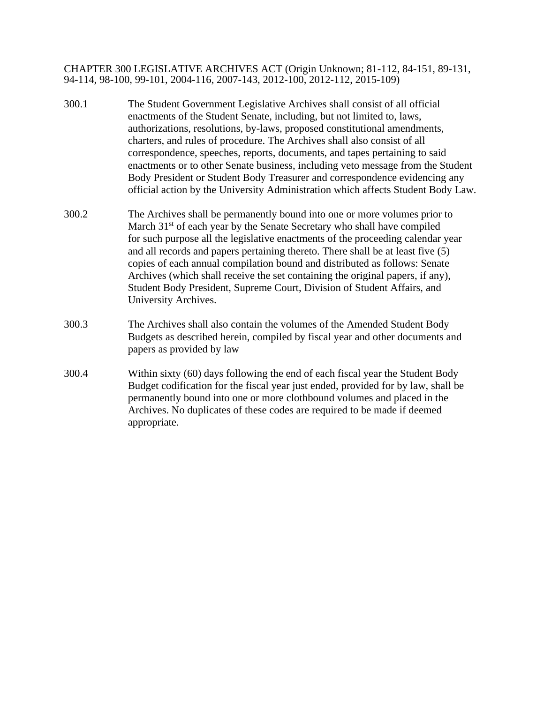CHAPTER 300 LEGISLATIVE ARCHIVES ACT (Origin Unknown; 81-112, 84-151, 89-131, 94-114, 98-100, 99-101, 2004-116, 2007-143, 2012-100, 2012-112, 2015-109)

- 300.1 The Student Government Legislative Archives shall consist of all official enactments of the Student Senate, including, but not limited to, laws, authorizations, resolutions, by-laws, proposed constitutional amendments, charters, and rules of procedure. The Archives shall also consist of all correspondence, speeches, reports, documents, and tapes pertaining to said enactments or to other Senate business, including veto message from the Student Body President or Student Body Treasurer and correspondence evidencing any official action by the University Administration which affects Student Body Law.
- 300.2 The Archives shall be permanently bound into one or more volumes prior to March  $31<sup>st</sup>$  of each year by the Senate Secretary who shall have compiled for such purpose all the legislative enactments of the proceeding calendar year and all records and papers pertaining thereto. There shall be at least five (5) copies of each annual compilation bound and distributed as follows: Senate Archives (which shall receive the set containing the original papers, if any), Student Body President, Supreme Court, Division of Student Affairs, and University Archives.
- 300.3 The Archives shall also contain the volumes of the Amended Student Body Budgets as described herein, compiled by fiscal year and other documents and papers as provided by law
- 300.4 Within sixty (60) days following the end of each fiscal year the Student Body Budget codification for the fiscal year just ended, provided for by law, shall be permanently bound into one or more clothbound volumes and placed in the Archives. No duplicates of these codes are required to be made if deemed appropriate.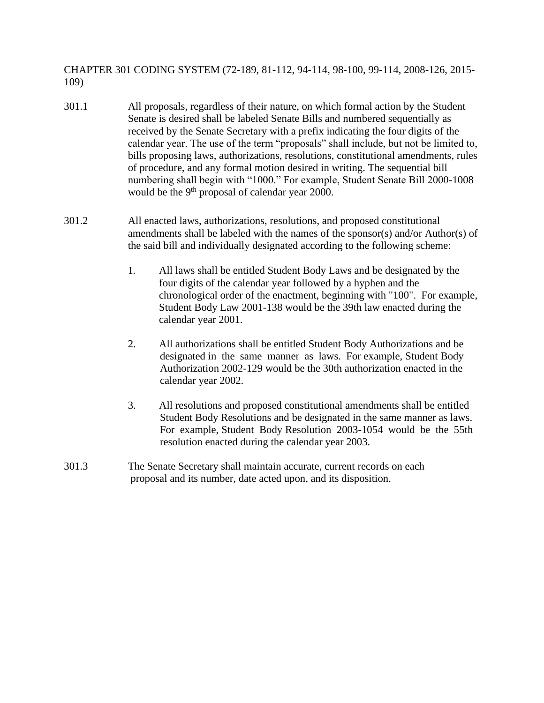CHAPTER 301 CODING SYSTEM (72-189, 81-112, 94-114, 98-100, 99-114, 2008-126, 2015- 109)

- 301.1 All proposals, regardless of their nature, on which formal action by the Student Senate is desired shall be labeled Senate Bills and numbered sequentially as received by the Senate Secretary with a prefix indicating the four digits of the calendar year. The use of the term "proposals" shall include, but not be limited to, bills proposing laws, authorizations, resolutions, constitutional amendments, rules of procedure, and any formal motion desired in writing. The sequential bill numbering shall begin with "1000." For example, Student Senate Bill 2000-1008 would be the 9<sup>th</sup> proposal of calendar year 2000.
- 301.2 All enacted laws, authorizations, resolutions, and proposed constitutional amendments shall be labeled with the names of the sponsor(s) and/or Author(s) of the said bill and individually designated according to the following scheme:
	- 1. All laws shall be entitled Student Body Laws and be designated by the four digits of the calendar year followed by a hyphen and the chronological order of the enactment, beginning with "100". For example, Student Body Law 2001-138 would be the 39th law enacted during the calendar year 2001.
	- 2. All authorizations shall be entitled Student Body Authorizations and be designated in the same manner as laws. For example, Student Body Authorization 2002-129 would be the 30th authorization enacted in the calendar year 2002.
	- 3. All resolutions and proposed constitutional amendments shall be entitled Student Body Resolutions and be designated in the same manner as laws. For example, Student Body Resolution 2003-1054 would be the 55th resolution enacted during the calendar year 2003.
- 301.3 The Senate Secretary shall maintain accurate, current records on each proposal and its number, date acted upon, and its disposition.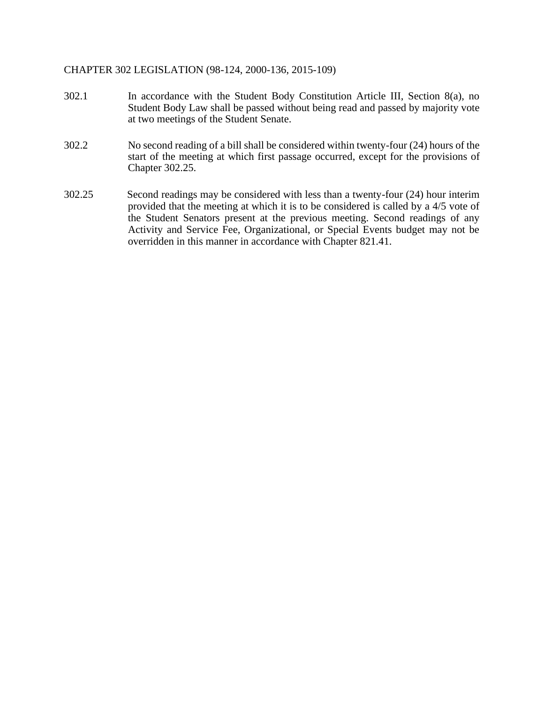#### CHAPTER 302 LEGISLATION (98-124, 2000-136, 2015-109)

- 302.1 In accordance with the Student Body Constitution Article III, Section 8(a), no Student Body Law shall be passed without being read and passed by majority vote at two meetings of the Student Senate.
- 302.2 No second reading of a bill shall be considered within twenty-four (24) hours of the start of the meeting at which first passage occurred, except for the provisions of Chapter 302.25.
- 302.25 Second readings may be considered with less than a twenty-four (24) hour interim provided that the meeting at which it is to be considered is called by a 4/5 vote of the Student Senators present at the previous meeting. Second readings of any Activity and Service Fee, Organizational, or Special Events budget may not be overridden in this manner in accordance with Chapter 821.41.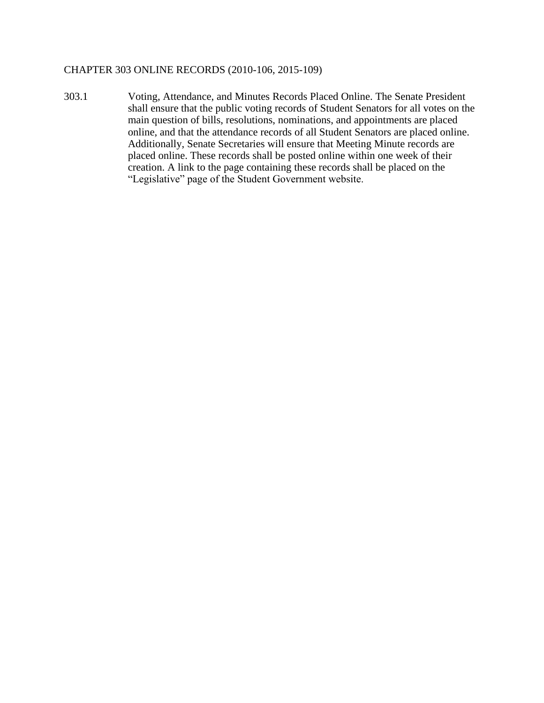#### CHAPTER 303 ONLINE RECORDS (2010-106, 2015-109)

303.1 Voting, Attendance, and Minutes Records Placed Online. The Senate President shall ensure that the public voting records of Student Senators for all votes on the main question of bills, resolutions, nominations, and appointments are placed online, and that the attendance records of all Student Senators are placed online. Additionally, Senate Secretaries will ensure that Meeting Minute records are placed online. These records shall be posted online within one week of their creation. A link to the page containing these records shall be placed on the "Legislative" page of the Student Government website.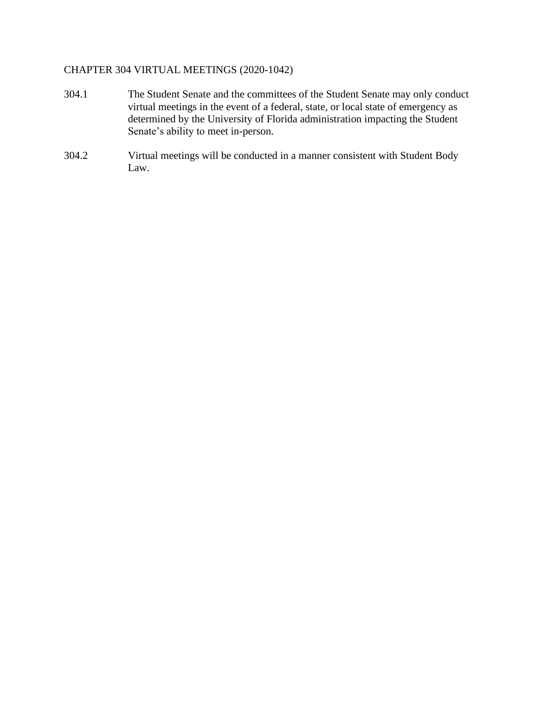# CHAPTER 304 VIRTUAL MEETINGS (2020-1042)

- 304.1 The Student Senate and the committees of the Student Senate may only conduct virtual meetings in the event of a federal, state, or local state of emergency as determined by the University of Florida administration impacting the Student Senate's ability to meet in-person.
- 304.2 Virtual meetings will be conducted in a manner consistent with Student Body Law.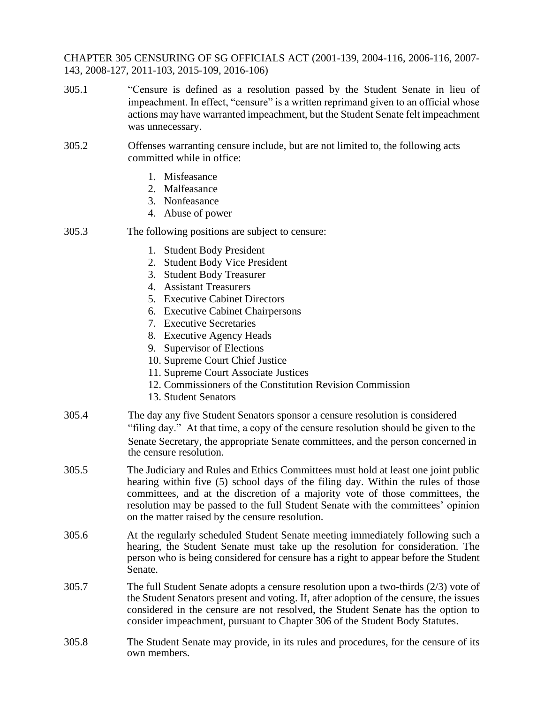CHAPTER 305 CENSURING OF SG OFFICIALS ACT (2001-139, 2004-116, 2006-116, 2007- 143, 2008-127, 2011-103, 2015-109, 2016-106)

- 305.1 "Censure is defined as a resolution passed by the Student Senate in lieu of impeachment. In effect, "censure" is a written reprimand given to an official whose actions may have warranted impeachment, but the Student Senate felt impeachment was unnecessary.
- 305.2 Offenses warranting censure include, but are not limited to, the following acts committed while in office:
	- 1. Misfeasance
	- 2. Malfeasance
	- 3. Nonfeasance
	- 4. Abuse of power
- 305.3 The following positions are subject to censure:
	- 1. Student Body President
	- 2. Student Body Vice President
	- 3. Student Body Treasurer
	- 4. Assistant Treasurers
	- 5. Executive Cabinet Directors
	- 6. Executive Cabinet Chairpersons
	- 7. Executive Secretaries
	- 8. Executive Agency Heads
	- 9. Supervisor of Elections
	- 10. Supreme Court Chief Justice
	- 11. Supreme Court Associate Justices
	- 12. Commissioners of the Constitution Revision Commission
	- 13. Student Senators
- 305.4 The day any five Student Senators sponsor a censure resolution is considered "filing day." At that time, a copy of the censure resolution should be given to the Senate Secretary, the appropriate Senate committees, and the person concerned in the censure resolution.
- 305.5 The Judiciary and Rules and Ethics Committees must hold at least one joint public hearing within five (5) school days of the filing day. Within the rules of those committees, and at the discretion of a majority vote of those committees, the resolution may be passed to the full Student Senate with the committees' opinion on the matter raised by the censure resolution.
- 305.6 At the regularly scheduled Student Senate meeting immediately following such a hearing, the Student Senate must take up the resolution for consideration. The person who is being considered for censure has a right to appear before the Student Senate.
- 305.7 The full Student Senate adopts a censure resolution upon a two-thirds (2/3) vote of the Student Senators present and voting. If, after adoption of the censure, the issues considered in the censure are not resolved, the Student Senate has the option to consider impeachment, pursuant to Chapter 306 of the Student Body Statutes.
- 305.8 The Student Senate may provide, in its rules and procedures, for the censure of its own members.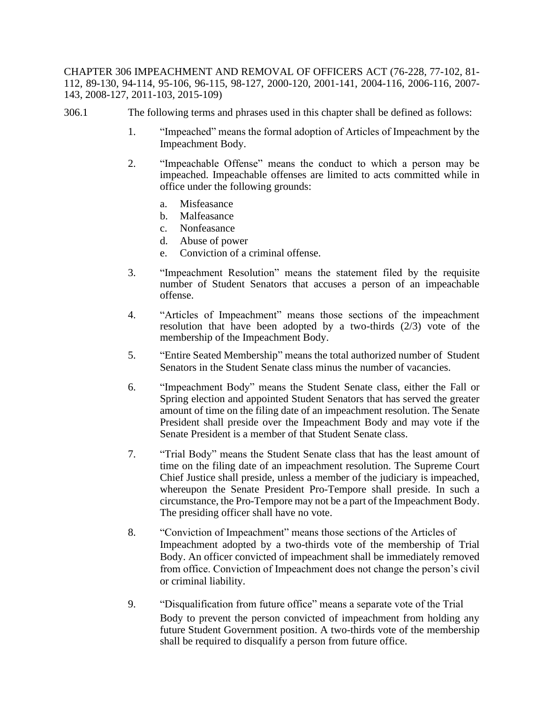CHAPTER 306 IMPEACHMENT AND REMOVAL OF OFFICERS ACT (76-228, 77-102, 81- 112, 89-130, 94-114, 95-106, 96-115, 98-127, 2000-120, 2001-141, 2004-116, 2006-116, 2007- 143, 2008-127, 2011-103, 2015-109)

- 306.1 The following terms and phrases used in this chapter shall be defined as follows:
	- 1. "Impeached" means the formal adoption of Articles of Impeachment by the Impeachment Body.
	- 2. "Impeachable Offense" means the conduct to which a person may be impeached. Impeachable offenses are limited to acts committed while in office under the following grounds:
		- a. Misfeasance
		- b. Malfeasance
		- c. Nonfeasance
		- d. Abuse of power
		- e. Conviction of a criminal offense.
	- 3. "Impeachment Resolution" means the statement filed by the requisite number of Student Senators that accuses a person of an impeachable offense.
	- 4. "Articles of Impeachment" means those sections of the impeachment resolution that have been adopted by a two-thirds (2/3) vote of the membership of the Impeachment Body.
	- 5. "Entire Seated Membership" means the total authorized number of Student Senators in the Student Senate class minus the number of vacancies.
	- 6. "Impeachment Body" means the Student Senate class, either the Fall or Spring election and appointed Student Senators that has served the greater amount of time on the filing date of an impeachment resolution. The Senate President shall preside over the Impeachment Body and may vote if the Senate President is a member of that Student Senate class.
	- 7. "Trial Body" means the Student Senate class that has the least amount of time on the filing date of an impeachment resolution. The Supreme Court Chief Justice shall preside, unless a member of the judiciary is impeached, whereupon the Senate President Pro-Tempore shall preside. In such a circumstance, the Pro-Tempore may not be a part of the Impeachment Body. The presiding officer shall have no vote.
	- 8. "Conviction of Impeachment" means those sections of the Articles of Impeachment adopted by a two-thirds vote of the membership of Trial Body. An officer convicted of impeachment shall be immediately removed from office. Conviction of Impeachment does not change the person's civil or criminal liability.
	- 9. "Disqualification from future office" means a separate vote of the Trial Body to prevent the person convicted of impeachment from holding any future Student Government position. A two-thirds vote of the membership shall be required to disqualify a person from future office.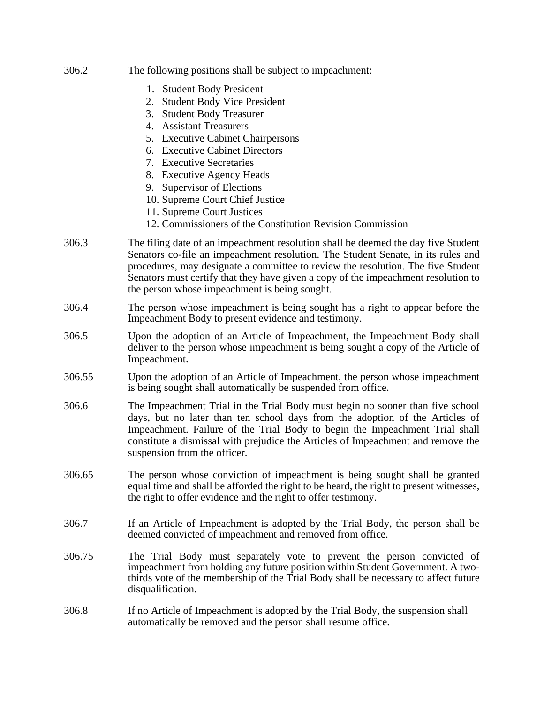| 306.2  | The following positions shall be subject to impeachment:                                                                                                                                                                                                                                                                                                                                                                            |
|--------|-------------------------------------------------------------------------------------------------------------------------------------------------------------------------------------------------------------------------------------------------------------------------------------------------------------------------------------------------------------------------------------------------------------------------------------|
|        | 1. Student Body President<br><b>Student Body Vice President</b><br>2.<br><b>Student Body Treasurer</b><br>3.<br>4. Assistant Treasurers<br>5. Executive Cabinet Chairpersons<br>6. Executive Cabinet Directors<br>7. Executive Secretaries<br>8. Executive Agency Heads<br>9. Supervisor of Elections<br>10. Supreme Court Chief Justice<br>11. Supreme Court Justices<br>12. Commissioners of the Constitution Revision Commission |
| 306.3  | The filing date of an impeachment resolution shall be deemed the day five Student<br>Senators co-file an impeachment resolution. The Student Senate, in its rules and<br>procedures, may designate a committee to review the resolution. The five Student<br>Senators must certify that they have given a copy of the impeachment resolution to<br>the person whose impeachment is being sought.                                    |
| 306.4  | The person whose impeachment is being sought has a right to appear before the<br>Impeachment Body to present evidence and testimony.                                                                                                                                                                                                                                                                                                |
| 306.5  | Upon the adoption of an Article of Impeachment, the Impeachment Body shall<br>deliver to the person whose impeachment is being sought a copy of the Article of<br>Impeachment.                                                                                                                                                                                                                                                      |
| 306.55 | Upon the adoption of an Article of Impeachment, the person whose impeachment<br>is being sought shall automatically be suspended from office.                                                                                                                                                                                                                                                                                       |
| 306.6  | The Impeachment Trial in the Trial Body must begin no sooner than five school<br>days, but no later than ten school days from the adoption of the Articles of<br>Impeachment. Failure of the Trial Body to begin the Impeachment Trial shall<br>constitute a dismissal with prejudice the Articles of Impeachment and remove the<br>suspension from the officer.                                                                    |
| 306.65 | The person whose conviction of impeachment is being sought shall be granted<br>equal time and shall be afforded the right to be heard, the right to present witnesses,<br>the right to offer evidence and the right to offer testimony.                                                                                                                                                                                             |
| 306.7  | If an Article of Impeachment is adopted by the Trial Body, the person shall be<br>deemed convicted of impeachment and removed from office.                                                                                                                                                                                                                                                                                          |
| 306.75 | The Trial Body must separately vote to prevent the person convicted of<br>impeachment from holding any future position within Student Government. A two-<br>thirds vote of the membership of the Trial Body shall be necessary to affect future<br>disqualification.                                                                                                                                                                |
| 306.8  | If no Article of Impeachment is adopted by the Trial Body, the suspension shall<br>automatically be removed and the person shall resume office.                                                                                                                                                                                                                                                                                     |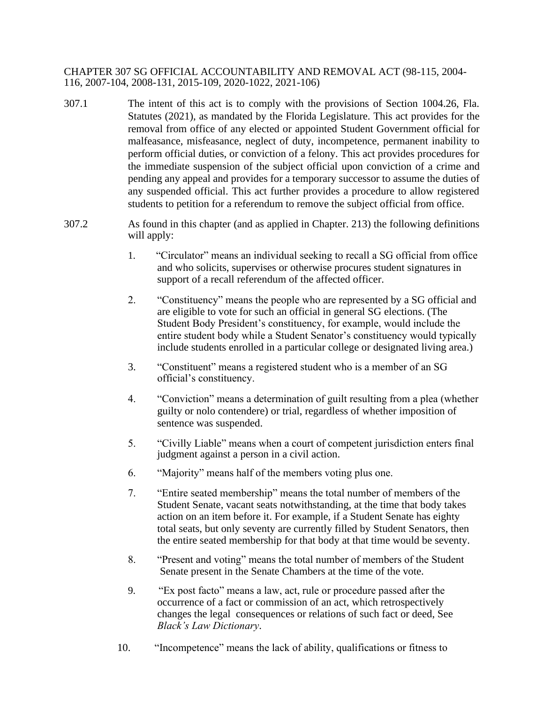CHAPTER 307 SG OFFICIAL ACCOUNTABILITY AND REMOVAL ACT (98-115, 2004- 116, 2007-104, 2008-131, 2015-109, 2020-1022, 2021-106)

- 307.1 The intent of this act is to comply with the provisions of Section 1004.26, Fla. Statutes (2021), as mandated by the Florida Legislature. This act provides for the removal from office of any elected or appointed Student Government official for malfeasance, misfeasance, neglect of duty, incompetence, permanent inability to perform official duties, or conviction of a felony. This act provides procedures for the immediate suspension of the subject official upon conviction of a crime and pending any appeal and provides for a temporary successor to assume the duties of any suspended official. This act further provides a procedure to allow registered students to petition for a referendum to remove the subject official from office.
- 307.2 As found in this chapter (and as applied in Chapter. 213) the following definitions will apply:
	- 1. "Circulator" means an individual seeking to recall a SG official from office and who solicits, supervises or otherwise procures student signatures in support of a recall referendum of the affected officer.
	- 2. "Constituency" means the people who are represented by a SG official and are eligible to vote for such an official in general SG elections. (The Student Body President's constituency, for example, would include the entire student body while a Student Senator's constituency would typically include students enrolled in a particular college or designated living area.)
	- 3. "Constituent" means a registered student who is a member of an SG official's constituency.
	- 4. "Conviction" means a determination of guilt resulting from a plea (whether guilty or nolo contendere) or trial, regardless of whether imposition of sentence was suspended.
	- 5. "Civilly Liable" means when a court of competent jurisdiction enters final judgment against a person in a civil action.
	- 6. "Majority" means half of the members voting plus one.
	- 7. "Entire seated membership" means the total number of members of the Student Senate, vacant seats notwithstanding, at the time that body takes action on an item before it. For example, if a Student Senate has eighty total seats, but only seventy are currently filled by Student Senators, then the entire seated membership for that body at that time would be seventy.
	- 8. "Present and voting" means the total number of members of the Student Senate present in the Senate Chambers at the time of the vote.
	- 9. "Ex post facto" means a law, act, rule or procedure passed after the occurrence of a fact or commission of an act, which retrospectively changes the legal consequences or relations of such fact or deed, See *Black's Law Dictionary*.
	- 10. "Incompetence" means the lack of ability, qualifications or fitness to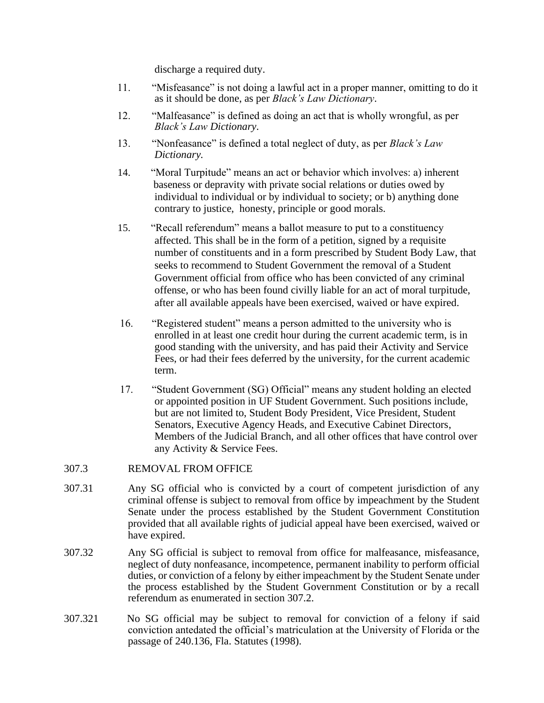discharge a required duty.

- 11. "Misfeasance" is not doing a lawful act in a proper manner, omitting to do it as it should be done, as per *Black's Law Dictionary*.
- 12. "Malfeasance" is defined as doing an act that is wholly wrongful, as per *Black's Law Dictionary*.
- 13. "Nonfeasance" is defined a total neglect of duty, as per *Black's Law Dictionary.*
- 14. "Moral Turpitude" means an act or behavior which involves: a) inherent baseness or depravity with private social relations or duties owed by individual to individual or by individual to society; or b) anything done contrary to justice, honesty, principle or good morals.
- 15. "Recall referendum" means a ballot measure to put to a constituency affected. This shall be in the form of a petition, signed by a requisite number of constituents and in a form prescribed by Student Body Law, that seeks to recommend to Student Government the removal of a Student Government official from office who has been convicted of any criminal offense, or who has been found civilly liable for an act of moral turpitude, after all available appeals have been exercised, waived or have expired.
- 16. "Registered student" means a person admitted to the university who is enrolled in at least one credit hour during the current academic term, is in good standing with the university, and has paid their Activity and Service Fees, or had their fees deferred by the university, for the current academic term.
- 17. "Student Government (SG) Official" means any student holding an elected or appointed position in UF Student Government. Such positions include, but are not limited to, Student Body President, Vice President, Student Senators, Executive Agency Heads, and Executive Cabinet Directors, Members of the Judicial Branch, and all other offices that have control over any Activity & Service Fees.

### 307.3 REMOVAL FROM OFFICE

- 307.31 Any SG official who is convicted by a court of competent jurisdiction of any criminal offense is subject to removal from office by impeachment by the Student Senate under the process established by the Student Government Constitution provided that all available rights of judicial appeal have been exercised, waived or have expired.
- 307.32 Any SG official is subject to removal from office for malfeasance, misfeasance, neglect of duty nonfeasance, incompetence, permanent inability to perform official duties, or conviction of a felony by either impeachment by the Student Senate under the process established by the Student Government Constitution or by a recall referendum as enumerated in section 307.2.
- 307.321 No SG official may be subject to removal for conviction of a felony if said conviction antedated the official's matriculation at the University of Florida or the passage of 240.136, Fla. Statutes (1998).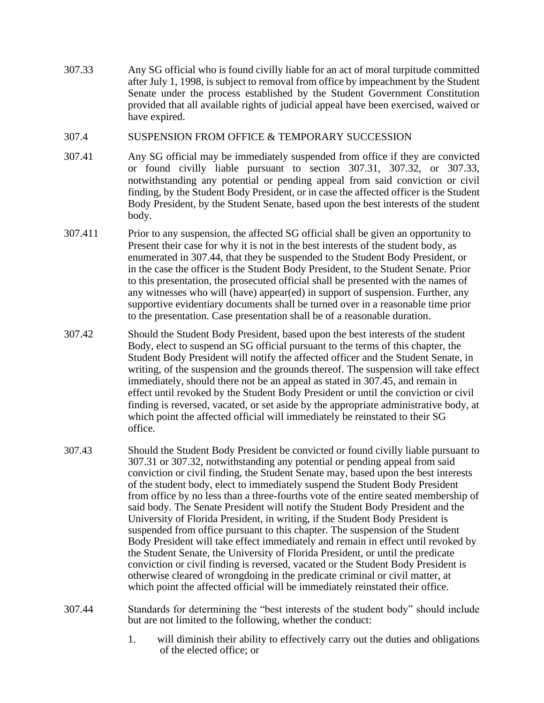307.33 Any SG official who is found civilly liable for an act of moral turpitude committed after July 1, 1998, is subject to removal from office by impeachment by the Student Senate under the process established by the Student Government Constitution provided that all available rights of judicial appeal have been exercised, waived or have expired.

### 307.4 SUSPENSION FROM OFFICE & TEMPORARY SUCCESSION

- 307.41 Any SG official may be immediately suspended from office if they are convicted or found civilly liable pursuant to section 307.31, 307.32, or 307.33, notwithstanding any potential or pending appeal from said conviction or civil finding, by the Student Body President, or in case the affected officer is the Student Body President, by the Student Senate, based upon the best interests of the student body.
- 307.411 Prior to any suspension, the affected SG official shall be given an opportunity to Present their case for why it is not in the best interests of the student body, as enumerated in 307.44, that they be suspended to the Student Body President, or in the case the officer is the Student Body President, to the Student Senate. Prior to this presentation, the prosecuted official shall be presented with the names of any witnesses who will (have) appear(ed) in support of suspension. Further, any supportive evidentiary documents shall be turned over in a reasonable time prior to the presentation. Case presentation shall be of a reasonable duration.
- 307.42 Should the Student Body President, based upon the best interests of the student Body, elect to suspend an SG official pursuant to the terms of this chapter, the Student Body President will notify the affected officer and the Student Senate, in writing, of the suspension and the grounds thereof. The suspension will take effect immediately, should there not be an appeal as stated in 307.45, and remain in effect until revoked by the Student Body President or until the conviction or civil finding is reversed, vacated, or set aside by the appropriate administrative body, at which point the affected official will immediately be reinstated to their SG office.
- 307.43 Should the Student Body President be convicted or found civilly liable pursuant to 307.31 or 307.32, notwithstanding any potential or pending appeal from said conviction or civil finding, the Student Senate may, based upon the best interests of the student body, elect to immediately suspend the Student Body President from office by no less than a three-fourths vote of the entire seated membership of said body. The Senate President will notify the Student Body President and the University of Florida President, in writing, if the Student Body President is suspended from office pursuant to this chapter. The suspension of the Student Body President will take effect immediately and remain in effect until revoked by the Student Senate, the University of Florida President, or until the predicate conviction or civil finding is reversed, vacated or the Student Body President is otherwise cleared of wrongdoing in the predicate criminal or civil matter, at which point the affected official will be immediately reinstated their office.
- 307.44 Standards for determining the "best interests of the student body" should include but are not limited to the following, whether the conduct:
	- 1. will diminish their ability to effectively carry out the duties and obligations of the elected office; or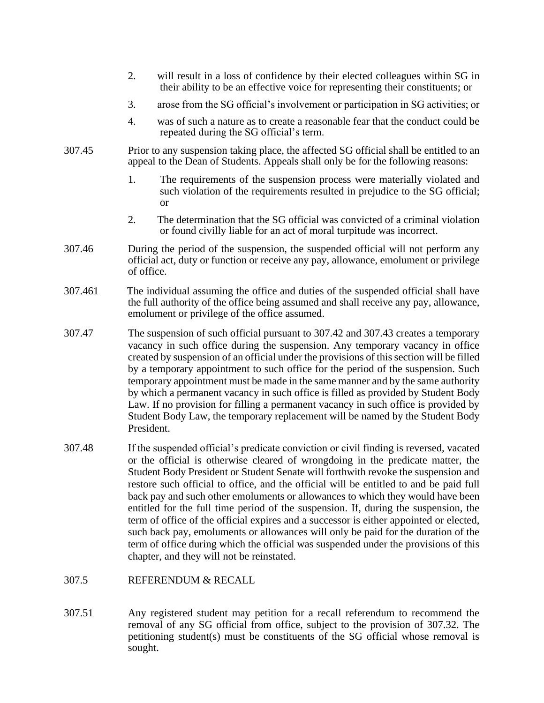- 2. will result in a loss of confidence by their elected colleagues within SG in their ability to be an effective voice for representing their constituents; or
- 3. arose from the SG official's involvement or participation in SG activities; or
- 4. was of such a nature as to create a reasonable fear that the conduct could be repeated during the SG official's term.
- 307.45 Prior to any suspension taking place, the affected SG official shall be entitled to an appeal to the Dean of Students. Appeals shall only be for the following reasons:
	- 1. The requirements of the suspension process were materially violated and such violation of the requirements resulted in prejudice to the SG official; or
	- 2. The determination that the SG official was convicted of a criminal violation or found civilly liable for an act of moral turpitude was incorrect.
- 307.46 During the period of the suspension, the suspended official will not perform any official act, duty or function or receive any pay, allowance, emolument or privilege of office.
- 307.461 The individual assuming the office and duties of the suspended official shall have the full authority of the office being assumed and shall receive any pay, allowance, emolument or privilege of the office assumed.
- 307.47 The suspension of such official pursuant to 307.42 and 307.43 creates a temporary vacancy in such office during the suspension. Any temporary vacancy in office created by suspension of an official under the provisions of this section will be filled by a temporary appointment to such office for the period of the suspension. Such temporary appointment must be made in the same manner and by the same authority by which a permanent vacancy in such office is filled as provided by Student Body Law. If no provision for filling a permanent vacancy in such office is provided by Student Body Law, the temporary replacement will be named by the Student Body President.
- 307.48 If the suspended official's predicate conviction or civil finding is reversed, vacated or the official is otherwise cleared of wrongdoing in the predicate matter, the Student Body President or Student Senate will forthwith revoke the suspension and restore such official to office, and the official will be entitled to and be paid full back pay and such other emoluments or allowances to which they would have been entitled for the full time period of the suspension. If, during the suspension, the term of office of the official expires and a successor is either appointed or elected, such back pay, emoluments or allowances will only be paid for the duration of the term of office during which the official was suspended under the provisions of this chapter, and they will not be reinstated.
- 307.5 REFERENDUM & RECALL
- 307.51 Any registered student may petition for a recall referendum to recommend the removal of any SG official from office, subject to the provision of 307.32. The petitioning student(s) must be constituents of the SG official whose removal is sought.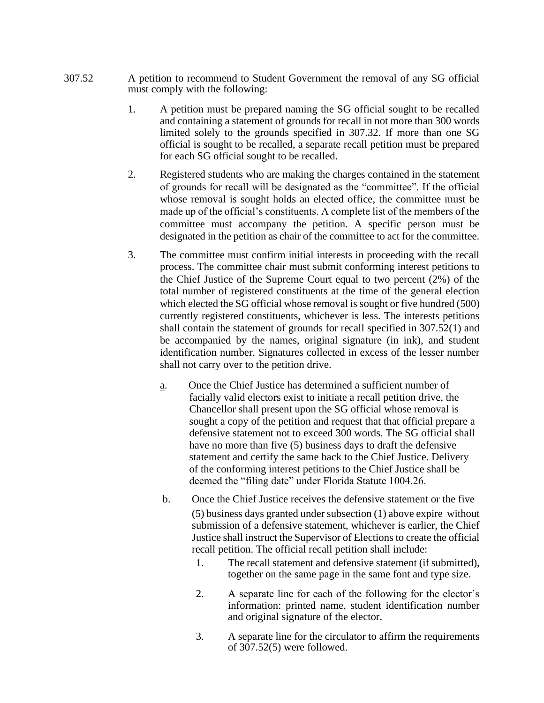- 307.52 A petition to recommend to Student Government the removal of any SG official must comply with the following:
	- 1. A petition must be prepared naming the SG official sought to be recalled and containing a statement of grounds for recall in not more than 300 words limited solely to the grounds specified in 307.32. If more than one SG official is sought to be recalled, a separate recall petition must be prepared for each SG official sought to be recalled.
	- 2. Registered students who are making the charges contained in the statement of grounds for recall will be designated as the "committee". If the official whose removal is sought holds an elected office, the committee must be made up of the official's constituents. A complete list of the members of the committee must accompany the petition. A specific person must be designated in the petition as chair of the committee to act for the committee.
	- 3. The committee must confirm initial interests in proceeding with the recall process. The committee chair must submit conforming interest petitions to the Chief Justice of the Supreme Court equal to two percent (2%) of the total number of registered constituents at the time of the general election which elected the SG official whose removal is sought or five hundred (500) currently registered constituents, whichever is less. The interests petitions shall contain the statement of grounds for recall specified in 307.52(1) and be accompanied by the names, original signature (in ink), and student identification number. Signatures collected in excess of the lesser number shall not carry over to the petition drive.
		- a. Once the Chief Justice has determined a sufficient number of facially valid electors exist to initiate a recall petition drive, the Chancellor shall present upon the SG official whose removal is sought a copy of the petition and request that that official prepare a defensive statement not to exceed 300 words. The SG official shall have no more than five (5) business days to draft the defensive statement and certify the same back to the Chief Justice. Delivery of the conforming interest petitions to the Chief Justice shall be deemed the "filing date" under Florida Statute 1004.26.
		- b. Once the Chief Justice receives the defensive statement or the five (5) business days granted under subsection (1) above expire without submission of a defensive statement, whichever is earlier, the Chief Justice shall instruct the Supervisor of Elections to create the official recall petition. The official recall petition shall include:
			- 1. The recall statement and defensive statement (if submitted), together on the same page in the same font and type size.
			- 2. A separate line for each of the following for the elector's information: printed name, student identification number and original signature of the elector.
			- 3. A separate line for the circulator to affirm the requirements of 307.52(5) were followed.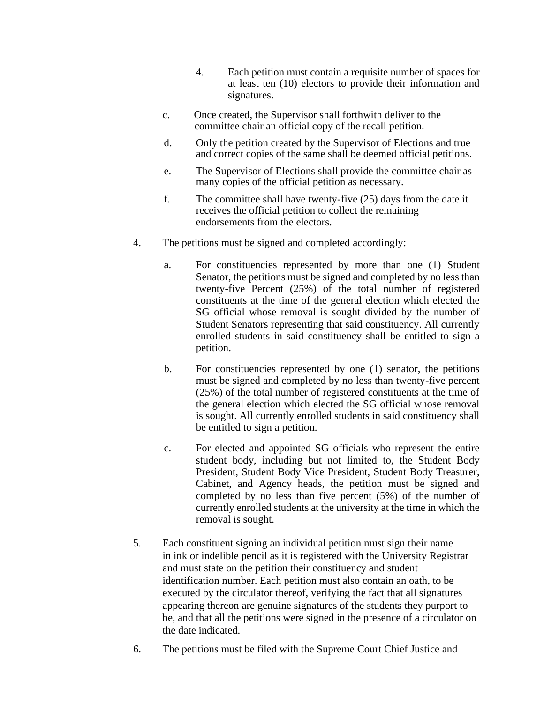- 4. Each petition must contain a requisite number of spaces for at least ten (10) electors to provide their information and signatures.
- c. Once created, the Supervisor shall forthwith deliver to the committee chair an official copy of the recall petition.
- d. Only the petition created by the Supervisor of Elections and true and correct copies of the same shall be deemed official petitions.
- e. The Supervisor of Elections shall provide the committee chair as many copies of the official petition as necessary.
- f. The committee shall have twenty-five (25) days from the date it receives the official petition to collect the remaining endorsements from the electors.
- 4. The petitions must be signed and completed accordingly:
	- a. For constituencies represented by more than one (1) Student Senator, the petitions must be signed and completed by no less than twenty-five Percent (25%) of the total number of registered constituents at the time of the general election which elected the SG official whose removal is sought divided by the number of Student Senators representing that said constituency. All currently enrolled students in said constituency shall be entitled to sign a petition.
	- b. For constituencies represented by one (1) senator, the petitions must be signed and completed by no less than twenty-five percent (25%) of the total number of registered constituents at the time of the general election which elected the SG official whose removal is sought. All currently enrolled students in said constituency shall be entitled to sign a petition.
	- c. For elected and appointed SG officials who represent the entire student body, including but not limited to, the Student Body President, Student Body Vice President, Student Body Treasurer, Cabinet, and Agency heads, the petition must be signed and completed by no less than five percent (5%) of the number of currently enrolled students at the university at the time in which the removal is sought.
- 5. Each constituent signing an individual petition must sign their name in ink or indelible pencil as it is registered with the University Registrar and must state on the petition their constituency and student identification number. Each petition must also contain an oath, to be executed by the circulator thereof, verifying the fact that all signatures appearing thereon are genuine signatures of the students they purport to be, and that all the petitions were signed in the presence of a circulator on the date indicated.
- 6. The petitions must be filed with the Supreme Court Chief Justice and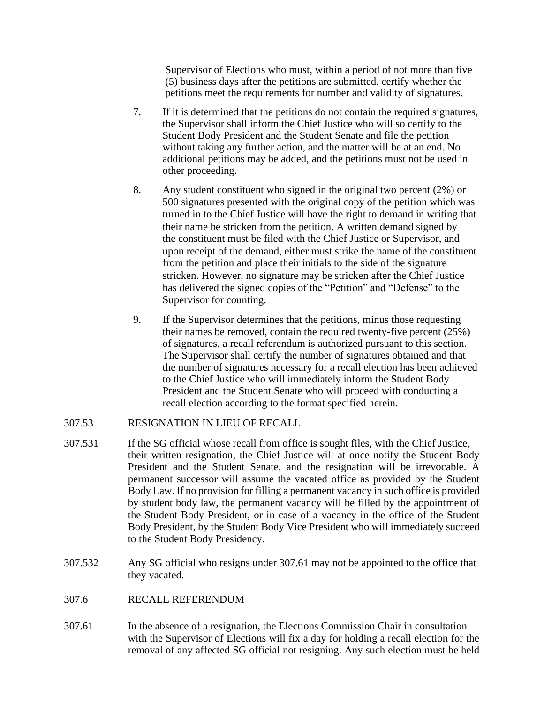Supervisor of Elections who must, within a period of not more than five (5) business days after the petitions are submitted, certify whether the petitions meet the requirements for number and validity of signatures.

- 7. If it is determined that the petitions do not contain the required signatures, the Supervisor shall inform the Chief Justice who will so certify to the Student Body President and the Student Senate and file the petition without taking any further action, and the matter will be at an end. No additional petitions may be added, and the petitions must not be used in other proceeding.
- 8. Any student constituent who signed in the original two percent (2%) or 500 signatures presented with the original copy of the petition which was turned in to the Chief Justice will have the right to demand in writing that their name be stricken from the petition. A written demand signed by the constituent must be filed with the Chief Justice or Supervisor, and upon receipt of the demand, either must strike the name of the constituent from the petition and place their initials to the side of the signature stricken. However, no signature may be stricken after the Chief Justice has delivered the signed copies of the "Petition" and "Defense" to the Supervisor for counting.
- 9. If the Supervisor determines that the petitions, minus those requesting their names be removed, contain the required twenty-five percent (25%) of signatures, a recall referendum is authorized pursuant to this section. The Supervisor shall certify the number of signatures obtained and that the number of signatures necessary for a recall election has been achieved to the Chief Justice who will immediately inform the Student Body President and the Student Senate who will proceed with conducting a recall election according to the format specified herein.

## 307.53 RESIGNATION IN LIEU OF RECALL

- 307.531 If the SG official whose recall from office is sought files, with the Chief Justice, their written resignation, the Chief Justice will at once notify the Student Body President and the Student Senate, and the resignation will be irrevocable. A permanent successor will assume the vacated office as provided by the Student Body Law. If no provision for filling a permanent vacancy in such office is provided by student body law, the permanent vacancy will be filled by the appointment of the Student Body President, or in case of a vacancy in the office of the Student Body President, by the Student Body Vice President who will immediately succeed to the Student Body Presidency.
- 307.532 Any SG official who resigns under 307.61 may not be appointed to the office that they vacated.
- 307.6 RECALL REFERENDUM
- 307.61 In the absence of a resignation, the Elections Commission Chair in consultation with the Supervisor of Elections will fix a day for holding a recall election for the removal of any affected SG official not resigning. Any such election must be held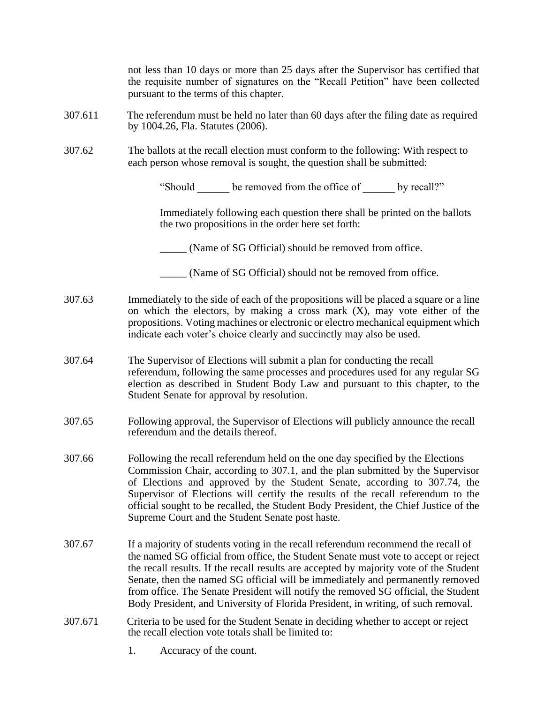not less than 10 days or more than 25 days after the Supervisor has certified that the requisite number of signatures on the "Recall Petition" have been collected pursuant to the terms of this chapter.

- 307.611 The referendum must be held no later than 60 days after the filing date as required by 1004.26, Fla. Statutes (2006).
- 307.62 The ballots at the recall election must conform to the following: With respect to each person whose removal is sought, the question shall be submitted:

"Should be removed from the office of by recall?"

Immediately following each question there shall be printed on the ballots the two propositions in the order here set forth:

\_\_\_\_\_ (Name of SG Official) should be removed from office.

- \_\_\_\_\_ (Name of SG Official) should not be removed from office.
- 307.63 Immediately to the side of each of the propositions will be placed a square or a line on which the electors, by making a cross mark  $(X)$ , may vote either of the propositions. Voting machines or electronic or electro mechanical equipment which indicate each voter's choice clearly and succinctly may also be used.
- 307.64 The Supervisor of Elections will submit a plan for conducting the recall referendum, following the same processes and procedures used for any regular SG election as described in Student Body Law and pursuant to this chapter, to the Student Senate for approval by resolution.
- 307.65 Following approval, the Supervisor of Elections will publicly announce the recall referendum and the details thereof.
- 307.66 Following the recall referendum held on the one day specified by the Elections Commission Chair, according to 307.1, and the plan submitted by the Supervisor of Elections and approved by the Student Senate, according to 307.74, the Supervisor of Elections will certify the results of the recall referendum to the official sought to be recalled, the Student Body President, the Chief Justice of the Supreme Court and the Student Senate post haste.
- 307.67 If a majority of students voting in the recall referendum recommend the recall of the named SG official from office, the Student Senate must vote to accept or reject the recall results. If the recall results are accepted by majority vote of the Student Senate, then the named SG official will be immediately and permanently removed from office. The Senate President will notify the removed SG official, the Student Body President, and University of Florida President, in writing, of such removal.
- 307.671 Criteria to be used for the Student Senate in deciding whether to accept or reject the recall election vote totals shall be limited to:
	- 1. Accuracy of the count.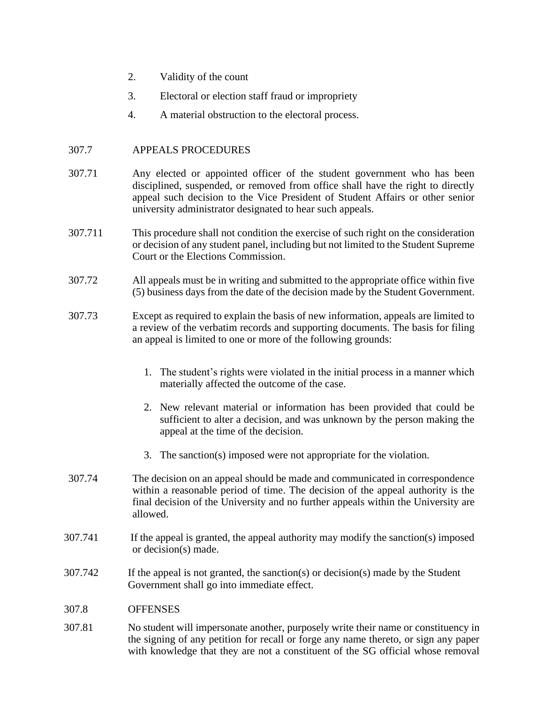- 2. Validity of the count
- 3. Electoral or election staff fraud or impropriety
- 4. A material obstruction to the electoral process.

### 307.7 APPEALS PROCEDURES

- 307.71 Any elected or appointed officer of the student government who has been disciplined, suspended, or removed from office shall have the right to directly appeal such decision to the Vice President of Student Affairs or other senior university administrator designated to hear such appeals.
- 307.711 This procedure shall not condition the exercise of such right on the consideration or decision of any student panel, including but not limited to the Student Supreme Court or the Elections Commission.
- 307.72 All appeals must be in writing and submitted to the appropriate office within five (5) business days from the date of the decision made by the Student Government.
- 307.73 Except as required to explain the basis of new information, appeals are limited to a review of the verbatim records and supporting documents. The basis for filing an appeal is limited to one or more of the following grounds:
	- 1. The student's rights were violated in the initial process in a manner which materially affected the outcome of the case.
	- 2. New relevant material or information has been provided that could be sufficient to alter a decision, and was unknown by the person making the appeal at the time of the decision.
	- 3. The sanction(s) imposed were not appropriate for the violation.
- 307.74 The decision on an appeal should be made and communicated in correspondence within a reasonable period of time. The decision of the appeal authority is the final decision of the University and no further appeals within the University are allowed.
- 307.741 If the appeal is granted, the appeal authority may modify the sanction(s) imposed or decision(s) made.
- 307.742 If the appeal is not granted, the sanction(s) or decision(s) made by the Student Government shall go into immediate effect.

#### 307.8 OFFENSES

307.81 No student will impersonate another, purposely write their name or constituency in the signing of any petition for recall or forge any name thereto, or sign any paper with knowledge that they are not a constituent of the SG official whose removal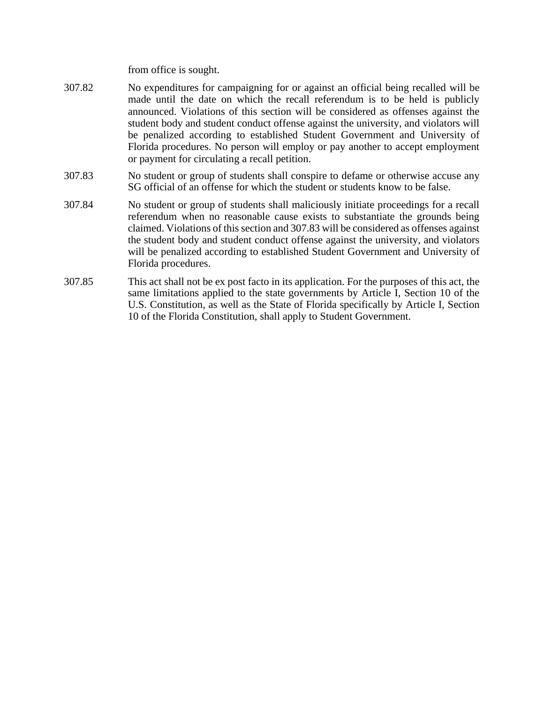from office is sought.

- 307.82 No expenditures for campaigning for or against an official being recalled will be made until the date on which the recall referendum is to be held is publicly announced. Violations of this section will be considered as offenses against the student body and student conduct offense against the university, and violators will be penalized according to established Student Government and University of Florida procedures. No person will employ or pay another to accept employment or payment for circulating a recall petition.
- 307.83 No student or group of students shall conspire to defame or otherwise accuse any SG official of an offense for which the student or students know to be false.
- 307.84 No student or group of students shall maliciously initiate proceedings for a recall referendum when no reasonable cause exists to substantiate the grounds being claimed. Violations of this section and 307.83 will be considered as offenses against the student body and student conduct offense against the university, and violators will be penalized according to established Student Government and University of Florida procedures.
- 307.85 This act shall not be ex post facto in its application. For the purposes of this act, the same limitations applied to the state governments by Article I, Section 10 of the U.S. Constitution, as well as the State of Florida specifically by Article I, Section 10 of the Florida Constitution, shall apply to Student Government.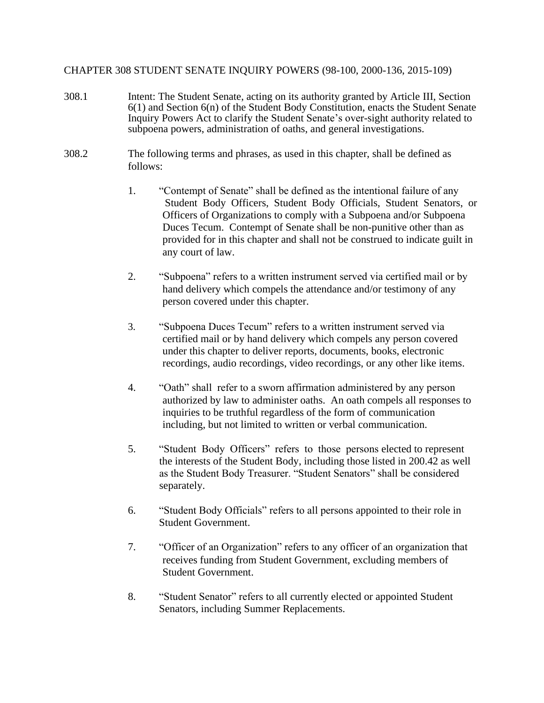### CHAPTER 308 STUDENT SENATE INQUIRY POWERS (98-100, 2000-136, 2015-109)

- 308.1 Intent: The Student Senate, acting on its authority granted by Article III, Section 6(1) and Section 6(n) of the Student Body Constitution, enacts the Student Senate Inquiry Powers Act to clarify the Student Senate's over-sight authority related to subpoena powers, administration of oaths, and general investigations.
- 308.2 The following terms and phrases, as used in this chapter, shall be defined as follows:
	- 1. "Contempt of Senate" shall be defined as the intentional failure of any Student Body Officers, Student Body Officials, Student Senators, or Officers of Organizations to comply with a Subpoena and/or Subpoena Duces Tecum. Contempt of Senate shall be non-punitive other than as provided for in this chapter and shall not be construed to indicate guilt in any court of law.
	- 2. "Subpoena" refers to a written instrument served via certified mail or by hand delivery which compels the attendance and/or testimony of any person covered under this chapter.
	- 3. "Subpoena Duces Tecum" refers to a written instrument served via certified mail or by hand delivery which compels any person covered under this chapter to deliver reports, documents, books, electronic recordings, audio recordings, video recordings, or any other like items.
	- 4. "Oath" shall refer to a sworn affirmation administered by any person authorized by law to administer oaths. An oath compels all responses to inquiries to be truthful regardless of the form of communication including, but not limited to written or verbal communication.
	- 5. "Student Body Officers" refers to those persons elected to represent the interests of the Student Body, including those listed in 200.42 as well as the Student Body Treasurer. "Student Senators" shall be considered separately.
	- 6. "Student Body Officials" refers to all persons appointed to their role in Student Government.
	- 7. "Officer of an Organization" refers to any officer of an organization that receives funding from Student Government, excluding members of Student Government.
	- 8. "Student Senator" refers to all currently elected or appointed Student Senators, including Summer Replacements.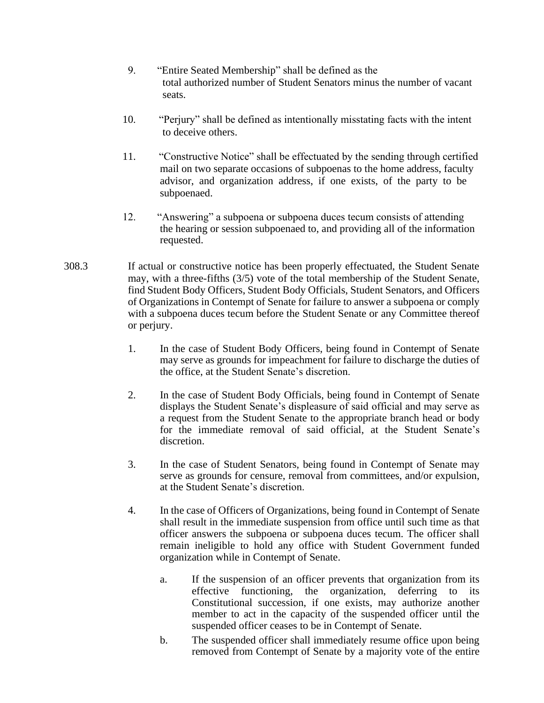- 9. "Entire Seated Membership" shall be defined as the total authorized number of Student Senators minus the number of vacant seats.
- 10. "Perjury" shall be defined as intentionally misstating facts with the intent to deceive others.
- 11. "Constructive Notice" shall be effectuated by the sending through certified mail on two separate occasions of subpoenas to the home address, faculty advisor, and organization address, if one exists, of the party to be subpoenaed.
- 12. "Answering" a subpoena or subpoena duces tecum consists of attending the hearing or session subpoenaed to, and providing all of the information requested.
- 308.3 If actual or constructive notice has been properly effectuated, the Student Senate may, with a three-fifths (3/5) vote of the total membership of the Student Senate, find Student Body Officers, Student Body Officials, Student Senators, and Officers of Organizations in Contempt of Senate for failure to answer a subpoena or comply with a subpoena duces tecum before the Student Senate or any Committee thereof or perjury.
	- 1. In the case of Student Body Officers, being found in Contempt of Senate may serve as grounds for impeachment for failure to discharge the duties of the office, at the Student Senate's discretion.
	- 2. In the case of Student Body Officials, being found in Contempt of Senate displays the Student Senate's displeasure of said official and may serve as a request from the Student Senate to the appropriate branch head or body for the immediate removal of said official, at the Student Senate's discretion.
	- 3. In the case of Student Senators, being found in Contempt of Senate may serve as grounds for censure, removal from committees, and/or expulsion, at the Student Senate's discretion.
	- 4. In the case of Officers of Organizations, being found in Contempt of Senate shall result in the immediate suspension from office until such time as that officer answers the subpoena or subpoena duces tecum. The officer shall remain ineligible to hold any office with Student Government funded organization while in Contempt of Senate.
		- a. If the suspension of an officer prevents that organization from its effective functioning, the organization, deferring to its Constitutional succession, if one exists, may authorize another member to act in the capacity of the suspended officer until the suspended officer ceases to be in Contempt of Senate.
		- b. The suspended officer shall immediately resume office upon being removed from Contempt of Senate by a majority vote of the entire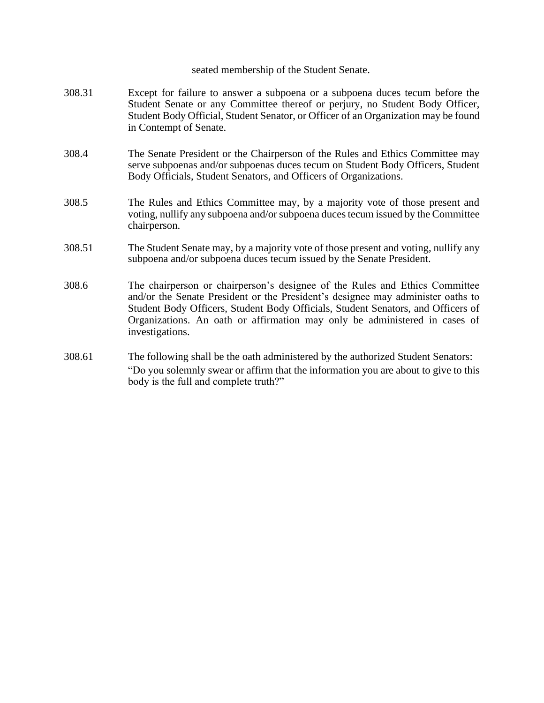#### seated membership of the Student Senate.

- 308.31 Except for failure to answer a subpoena or a subpoena duces tecum before the Student Senate or any Committee thereof or perjury, no Student Body Officer, Student Body Official, Student Senator, or Officer of an Organization may be found in Contempt of Senate.
- 308.4 The Senate President or the Chairperson of the Rules and Ethics Committee may serve subpoenas and/or subpoenas duces tecum on Student Body Officers, Student Body Officials, Student Senators, and Officers of Organizations.
- 308.5 The Rules and Ethics Committee may, by a majority vote of those present and voting, nullify any subpoena and/or subpoena duces tecum issued by the Committee chairperson.
- 308.51 The Student Senate may, by a majority vote of those present and voting, nullify any subpoena and/or subpoena duces tecum issued by the Senate President.
- 308.6 The chairperson or chairperson's designee of the Rules and Ethics Committee and/or the Senate President or the President's designee may administer oaths to Student Body Officers, Student Body Officials, Student Senators, and Officers of Organizations. An oath or affirmation may only be administered in cases of investigations.
- 308.61 The following shall be the oath administered by the authorized Student Senators: "Do you solemnly swear or affirm that the information you are about to give to this body is the full and complete truth?"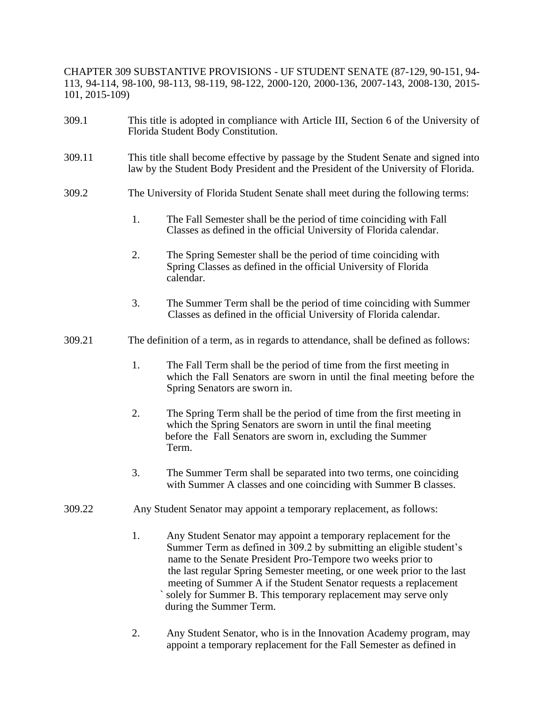CHAPTER 309 SUBSTANTIVE PROVISIONS - UF STUDENT SENATE (87-129, 90-151, 94- 113, 94-114, 98-100, 98-113, 98-119, 98-122, 2000-120, 2000-136, 2007-143, 2008-130, 2015- 101, 2015-109)

- 309.1 This title is adopted in compliance with Article III, Section 6 of the University of Florida Student Body Constitution.
- 309.11 This title shall become effective by passage by the Student Senate and signed into law by the Student Body President and the President of the University of Florida.
- 309.2 The University of Florida Student Senate shall meet during the following terms:
	- 1. The Fall Semester shall be the period of time coinciding with Fall Classes as defined in the official University of Florida calendar.
	- 2. The Spring Semester shall be the period of time coinciding with Spring Classes as defined in the official University of Florida calendar.
	- 3. The Summer Term shall be the period of time coinciding with Summer Classes as defined in the official University of Florida calendar.
- 309.21 The definition of a term, as in regards to attendance, shall be defined as follows:
	- 1. The Fall Term shall be the period of time from the first meeting in which the Fall Senators are sworn in until the final meeting before the Spring Senators are sworn in.
	- 2. The Spring Term shall be the period of time from the first meeting in which the Spring Senators are sworn in until the final meeting before the Fall Senators are sworn in, excluding the Summer Term.
	- 3. The Summer Term shall be separated into two terms, one coinciding with Summer A classes and one coinciding with Summer B classes.
- 309.22 Any Student Senator may appoint a temporary replacement, as follows:
	- 1. Any Student Senator may appoint a temporary replacement for the Summer Term as defined in 309.2 by submitting an eligible student's name to the Senate President Pro-Tempore two weeks prior to the last regular Spring Semester meeting, or one week prior to the last meeting of Summer A if the Student Senator requests a replacement solely for Summer B. This temporary replacement may serve only during the Summer Term.
	- 2. Any Student Senator, who is in the Innovation Academy program, may appoint a temporary replacement for the Fall Semester as defined in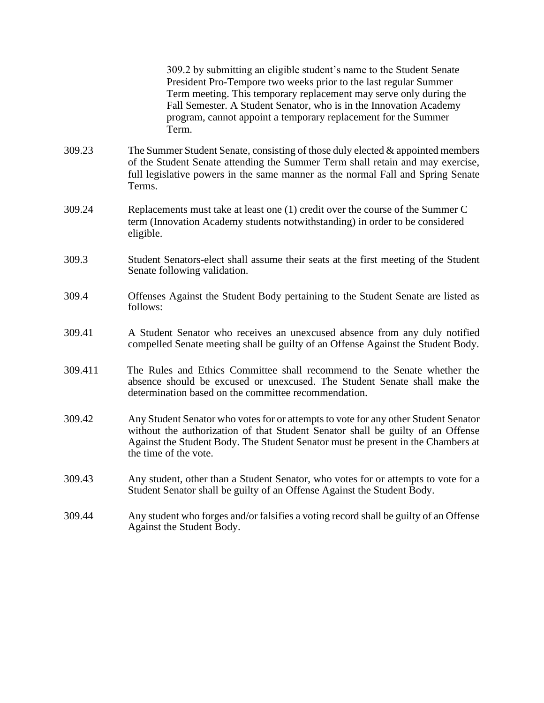309.2 by submitting an eligible student's name to the Student Senate President Pro-Tempore two weeks prior to the last regular Summer Term meeting. This temporary replacement may serve only during the Fall Semester. A Student Senator, who is in the Innovation Academy program, cannot appoint a temporary replacement for the Summer Term.

- 309.23 The Summer Student Senate, consisting of those duly elected & appointed members of the Student Senate attending the Summer Term shall retain and may exercise, full legislative powers in the same manner as the normal Fall and Spring Senate Terms.
- 309.24 Replacements must take at least one (1) credit over the course of the Summer C term (Innovation Academy students notwithstanding) in order to be considered eligible.
- 309.3 Student Senators-elect shall assume their seats at the first meeting of the Student Senate following validation.
- 309.4 Offenses Against the Student Body pertaining to the Student Senate are listed as follows:
- 309.41 A Student Senator who receives an unexcused absence from any duly notified compelled Senate meeting shall be guilty of an Offense Against the Student Body.
- 309.411 The Rules and Ethics Committee shall recommend to the Senate whether the absence should be excused or unexcused. The Student Senate shall make the determination based on the committee recommendation.
- 309.42 Any Student Senator who votes for or attempts to vote for any other Student Senator without the authorization of that Student Senator shall be guilty of an Offense Against the Student Body. The Student Senator must be present in the Chambers at the time of the vote.
- 309.43 Any student, other than a Student Senator, who votes for or attempts to vote for a Student Senator shall be guilty of an Offense Against the Student Body.
- 309.44 Any student who forges and/or falsifies a voting record shall be guilty of an Offense Against the Student Body.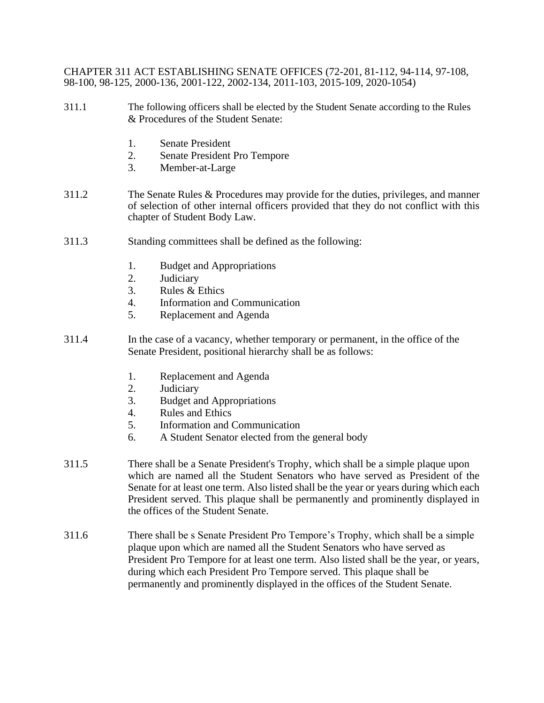CHAPTER 311 ACT ESTABLISHING SENATE OFFICES (72-201, 81-112, 94-114, 97-108, 98-100, 98-125, 2000-136, 2001-122, 2002-134, 2011-103, 2015-109, 2020-1054)

- 311.1 The following officers shall be elected by the Student Senate according to the Rules & Procedures of the Student Senate:
	- 1. Senate President
	- 2. Senate President Pro Tempore
	- 3. Member-at-Large
- 311.2 The Senate Rules & Procedures may provide for the duties, privileges, and manner of selection of other internal officers provided that they do not conflict with this chapter of Student Body Law.
- 311.3 Standing committees shall be defined as the following:
	- 1. Budget and Appropriations
	- 2. Judiciary
	- 3. Rules & Ethics
	- 4. Information and Communication
	- 5. Replacement and Agenda
- 311.4 In the case of a vacancy, whether temporary or permanent, in the office of the Senate President, positional hierarchy shall be as follows:
	- 1. Replacement and Agenda
	- 2. Judiciary
	- 3. Budget and Appropriations
	- 4. Rules and Ethics
	- 5. Information and Communication
	- 6. A Student Senator elected from the general body
- 311.5 There shall be a Senate President's Trophy, which shall be a simple plaque upon which are named all the Student Senators who have served as President of the Senate for at least one term. Also listed shall be the year or years during which each President served. This plaque shall be permanently and prominently displayed in the offices of the Student Senate.
- 311.6 There shall be s Senate President Pro Tempore's Trophy, which shall be a simple plaque upon which are named all the Student Senators who have served as President Pro Tempore for at least one term. Also listed shall be the year, or years, during which each President Pro Tempore served. This plaque shall be permanently and prominently displayed in the offices of the Student Senate.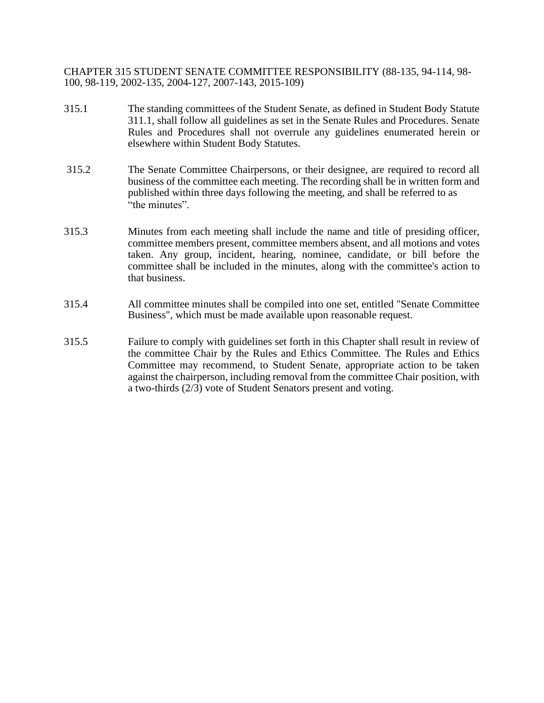CHAPTER 315 STUDENT SENATE COMMITTEE RESPONSIBILITY (88-135, 94-114, 98- 100, 98-119, 2002-135, 2004-127, 2007-143, 2015-109)

- 315.1 The standing committees of the Student Senate, as defined in Student Body Statute 311.1, shall follow all guidelines as set in the Senate Rules and Procedures. Senate Rules and Procedures shall not overrule any guidelines enumerated herein or elsewhere within Student Body Statutes.
- 315.2 The Senate Committee Chairpersons, or their designee, are required to record all business of the committee each meeting. The recording shall be in written form and published within three days following the meeting, and shall be referred to as "the minutes".
- 315.3 Minutes from each meeting shall include the name and title of presiding officer, committee members present, committee members absent, and all motions and votes taken. Any group, incident, hearing, nominee, candidate, or bill before the committee shall be included in the minutes, along with the committee's action to that business.
- 315.4 All committee minutes shall be compiled into one set, entitled "Senate Committee Business", which must be made available upon reasonable request.
- 315.5 Failure to comply with guidelines set forth in this Chapter shall result in review of the committee Chair by the Rules and Ethics Committee. The Rules and Ethics Committee may recommend, to Student Senate, appropriate action to be taken against the chairperson, including removal from the committee Chair position, with a two-thirds (2/3) vote of Student Senators present and voting.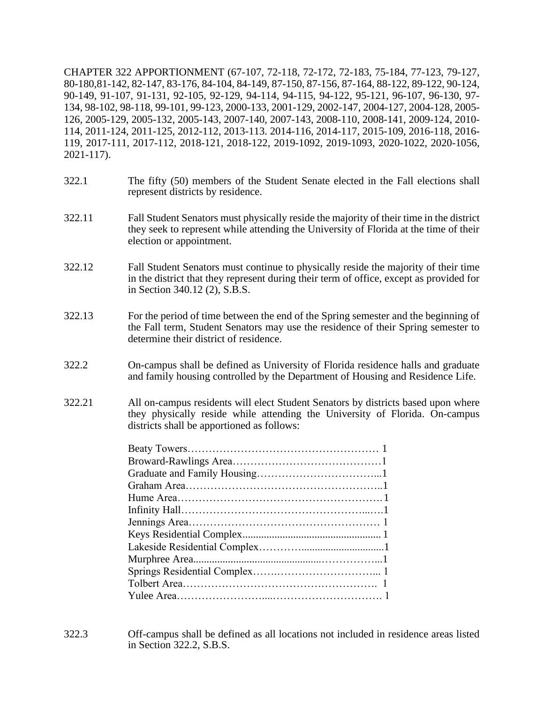CHAPTER 322 APPORTIONMENT (67-107, 72-118, 72-172, 72-183, 75-184, 77-123, 79-127, 80-180,81-142, 82-147, 83-176, 84-104, 84-149, 87-150, 87-156, 87-164, 88-122, 89-122, 90-124, 90-149, 91-107, 91-131, 92-105, 92-129, 94-114, 94-115, 94-122, 95-121, 96-107, 96-130, 97- 134, 98-102, 98-118, 99-101, 99-123, 2000-133, 2001-129, 2002-147, 2004-127, 2004-128, 2005- 126, 2005-129, 2005-132, 2005-143, 2007-140, 2007-143, 2008-110, 2008-141, 2009-124, 2010- 114, 2011-124, 2011-125, 2012-112, 2013-113. 2014-116, 2014-117, 2015-109, 2016-118, 2016- 119, 2017-111, 2017-112, 2018-121, 2018-122, 2019-1092, 2019-1093, 2020-1022, 2020-1056, 2021-117).

- 322.1 The fifty (50) members of the Student Senate elected in the Fall elections shall represent districts by residence.
- 322.11 Fall Student Senators must physically reside the majority of their time in the district they seek to represent while attending the University of Florida at the time of their election or appointment.
- 322.12 Fall Student Senators must continue to physically reside the majority of their time in the district that they represent during their term of office, except as provided for in Section 340.12 (2), S.B.S.
- 322.13 For the period of time between the end of the Spring semester and the beginning of the Fall term, Student Senators may use the residence of their Spring semester to determine their district of residence.
- 322.2 On-campus shall be defined as University of Florida residence halls and graduate and family housing controlled by the Department of Housing and Residence Life.
- 322.21 All on-campus residents will elect Student Senators by districts based upon where they physically reside while attending the University of Florida. On-campus districts shall be apportioned as follows:

322.3 Off-campus shall be defined as all locations not included in residence areas listed in Section 322.2, S.B.S.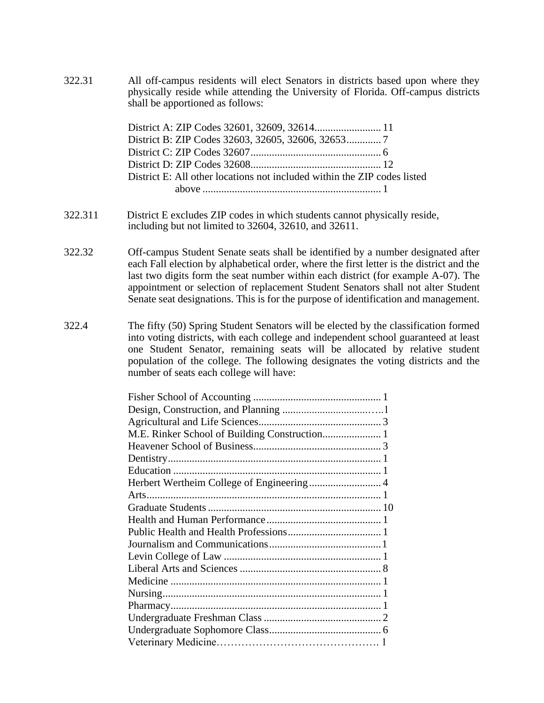322.31 All off-campus residents will elect Senators in districts based upon where they physically reside while attending the University of Florida. Off-campus districts shall be apportioned as follows:

> District A: ZIP Codes 32601, 32609, 32614......................... 11 District B: ZIP Codes 32603, 32605, 32606, 32653............. 7 District C: ZIP Codes 32607................................................. 6 District D: ZIP Codes 32608................................................. 12 District E: All other locations not included within the ZIP codes listed above ................................................................... 1

- 322.311 District E excludes ZIP codes in which students cannot physically reside, including but not limited to 32604, 32610, and 32611.
- 322.32 Off-campus Student Senate seats shall be identified by a number designated after each Fall election by alphabetical order, where the first letter is the district and the last two digits form the seat number within each district (for example A-07). The appointment or selection of replacement Student Senators shall not alter Student Senate seat designations. This is for the purpose of identification and management.
- 322.4 The fifty (50) Spring Student Senators will be elected by the classification formed into voting districts, with each college and independent school guaranteed at least one Student Senator, remaining seats will be allocated by relative student population of the college. The following designates the voting districts and the number of seats each college will have:

| M.E. Rinker School of Building Construction 1 |  |  |
|-----------------------------------------------|--|--|
|                                               |  |  |
|                                               |  |  |
|                                               |  |  |
| Herbert Wertheim College of Engineering 4     |  |  |
|                                               |  |  |
|                                               |  |  |
|                                               |  |  |
|                                               |  |  |
|                                               |  |  |
|                                               |  |  |
|                                               |  |  |
|                                               |  |  |
|                                               |  |  |
|                                               |  |  |
|                                               |  |  |
|                                               |  |  |
|                                               |  |  |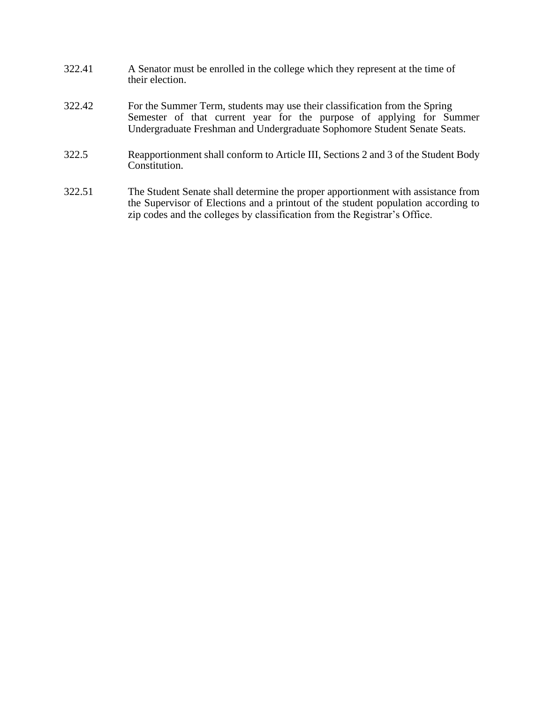- 322.41 A Senator must be enrolled in the college which they represent at the time of their election.
- 322.42 For the Summer Term, students may use their classification from the Spring Semester of that current year for the purpose of applying for Summer Undergraduate Freshman and Undergraduate Sophomore Student Senate Seats.
- 322.5 Reapportionment shall conform to Article III, Sections 2 and 3 of the Student Body Constitution.
- 322.51 The Student Senate shall determine the proper apportionment with assistance from the Supervisor of Elections and a printout of the student population according to zip codes and the colleges by classification from the Registrar's Office.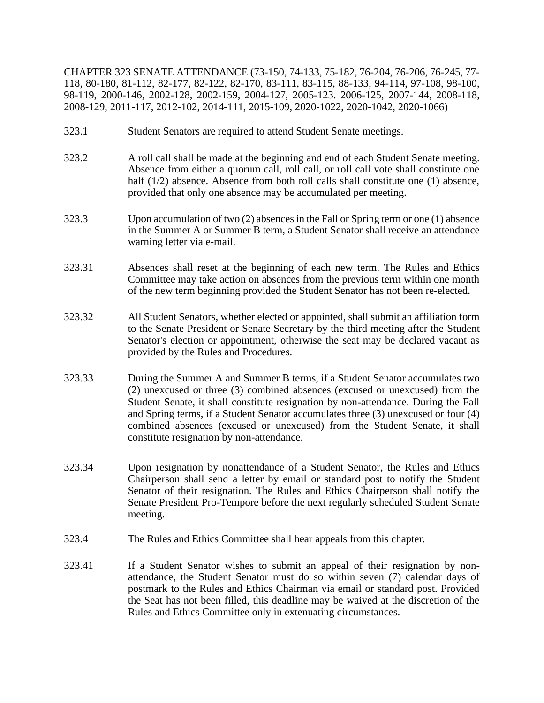CHAPTER 323 SENATE ATTENDANCE (73-150, 74-133, 75-182, 76-204, 76-206, 76-245, 77- 118, 80-180, 81-112, 82-177, 82-122, 82-170, 83-111, 83-115, 88-133, 94-114, 97-108, 98-100, 98-119, 2000-146, 2002-128, 2002-159, 2004-127, 2005-123. 2006-125, 2007-144, 2008-118, 2008-129, 2011-117, 2012-102, 2014-111, 2015-109, 2020-1022, 2020-1042, 2020-1066)

- 323.1 Student Senators are required to attend Student Senate meetings.
- 323.2 A roll call shall be made at the beginning and end of each Student Senate meeting. Absence from either a quorum call, roll call, or roll call vote shall constitute one half (1/2) absence. Absence from both roll calls shall constitute one (1) absence, provided that only one absence may be accumulated per meeting.
- 323.3 Upon accumulation of two (2) absences in the Fall or Spring term or one (1) absence in the Summer A or Summer B term, a Student Senator shall receive an attendance warning letter via e-mail.
- 323.31 Absences shall reset at the beginning of each new term. The Rules and Ethics Committee may take action on absences from the previous term within one month of the new term beginning provided the Student Senator has not been re-elected.
- 323.32 All Student Senators, whether elected or appointed, shall submit an affiliation form to the Senate President or Senate Secretary by the third meeting after the Student Senator's election or appointment, otherwise the seat may be declared vacant as provided by the Rules and Procedures.
- 323.33 During the Summer A and Summer B terms, if a Student Senator accumulates two (2) unexcused or three (3) combined absences (excused or unexcused) from the Student Senate, it shall constitute resignation by non-attendance. During the Fall and Spring terms, if a Student Senator accumulates three (3) unexcused or four (4) combined absences (excused or unexcused) from the Student Senate, it shall constitute resignation by non-attendance.
- 323.34 Upon resignation by nonattendance of a Student Senator, the Rules and Ethics Chairperson shall send a letter by email or standard post to notify the Student Senator of their resignation. The Rules and Ethics Chairperson shall notify the Senate President Pro-Tempore before the next regularly scheduled Student Senate meeting.
- 323.4 The Rules and Ethics Committee shall hear appeals from this chapter.
- 323.41 If a Student Senator wishes to submit an appeal of their resignation by nonattendance, the Student Senator must do so within seven (7) calendar days of postmark to the Rules and Ethics Chairman via email or standard post. Provided the Seat has not been filled, this deadline may be waived at the discretion of the Rules and Ethics Committee only in extenuating circumstances.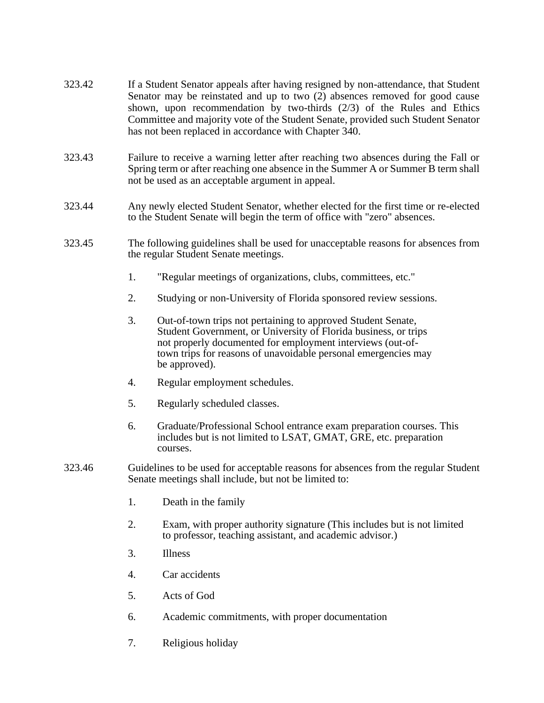- 323.42 If a Student Senator appeals after having resigned by non-attendance, that Student Senator may be reinstated and up to two (2) absences removed for good cause shown, upon recommendation by two-thirds (2/3) of the Rules and Ethics Committee and majority vote of the Student Senate, provided such Student Senator has not been replaced in accordance with Chapter 340.
- 323.43 Failure to receive a warning letter after reaching two absences during the Fall or Spring term or after reaching one absence in the Summer A or Summer B term shall not be used as an acceptable argument in appeal.
- 323.44 Any newly elected Student Senator, whether elected for the first time or re-elected to the Student Senate will begin the term of office with "zero" absences.
- 323.45 The following guidelines shall be used for unacceptable reasons for absences from the regular Student Senate meetings.
	- 1. "Regular meetings of organizations, clubs, committees, etc."
	- 2. Studying or non-University of Florida sponsored review sessions.
	- 3. Out-of-town trips not pertaining to approved Student Senate, Student Government, or University of Florida business, or trips not properly documented for employment interviews (out-of town trips for reasons of unavoidable personal emergencies may be approved).
	- 4. Regular employment schedules.
	- 5. Regularly scheduled classes.
	- 6. Graduate/Professional School entrance exam preparation courses. This includes but is not limited to LSAT, GMAT, GRE, etc. preparation courses.
- 323.46 Guidelines to be used for acceptable reasons for absences from the regular Student Senate meetings shall include, but not be limited to:
	- 1. Death in the family
	- 2. Exam, with proper authority signature (This includes but is not limited to professor, teaching assistant, and academic advisor.)
	- 3. Illness
	- 4. Car accidents
	- 5. Acts of God
	- 6. Academic commitments, with proper documentation
	- 7. Religious holiday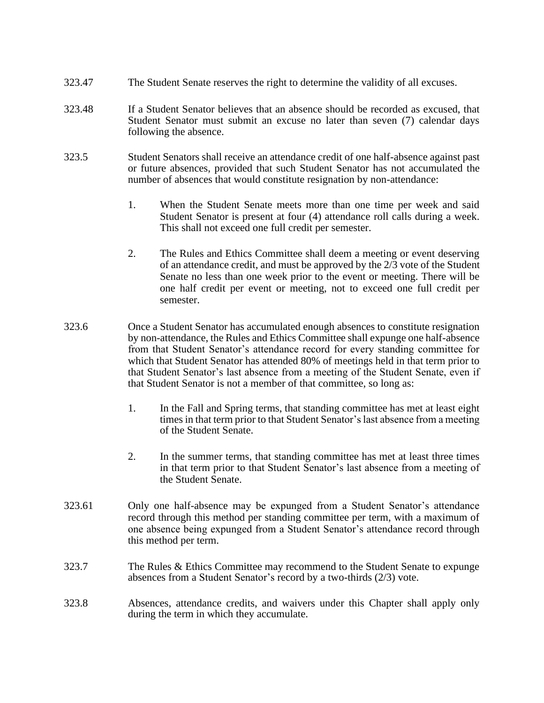- 323.47 The Student Senate reserves the right to determine the validity of all excuses.
- 323.48 If a Student Senator believes that an absence should be recorded as excused, that Student Senator must submit an excuse no later than seven (7) calendar days following the absence.
- 323.5 Student Senators shall receive an attendance credit of one half-absence against past or future absences, provided that such Student Senator has not accumulated the number of absences that would constitute resignation by non-attendance:
	- 1. When the Student Senate meets more than one time per week and said Student Senator is present at four (4) attendance roll calls during a week. This shall not exceed one full credit per semester.
	- 2. The Rules and Ethics Committee shall deem a meeting or event deserving of an attendance credit, and must be approved by the 2/3 vote of the Student Senate no less than one week prior to the event or meeting. There will be one half credit per event or meeting, not to exceed one full credit per semester.
- 323.6 Once a Student Senator has accumulated enough absences to constitute resignation by non-attendance, the Rules and Ethics Committee shall expunge one half-absence from that Student Senator's attendance record for every standing committee for which that Student Senator has attended 80% of meetings held in that term prior to that Student Senator's last absence from a meeting of the Student Senate, even if that Student Senator is not a member of that committee, so long as:
	- 1. In the Fall and Spring terms, that standing committee has met at least eight times in that term prior to that Student Senator's last absence from a meeting of the Student Senate.
	- 2. In the summer terms, that standing committee has met at least three times in that term prior to that Student Senator's last absence from a meeting of the Student Senate.
- 323.61 Only one half-absence may be expunged from a Student Senator's attendance record through this method per standing committee per term, with a maximum of one absence being expunged from a Student Senator's attendance record through this method per term.
- 323.7 The Rules & Ethics Committee may recommend to the Student Senate to expunge absences from a Student Senator's record by a two-thirds (2/3) vote.
- 323.8 Absences, attendance credits, and waivers under this Chapter shall apply only during the term in which they accumulate.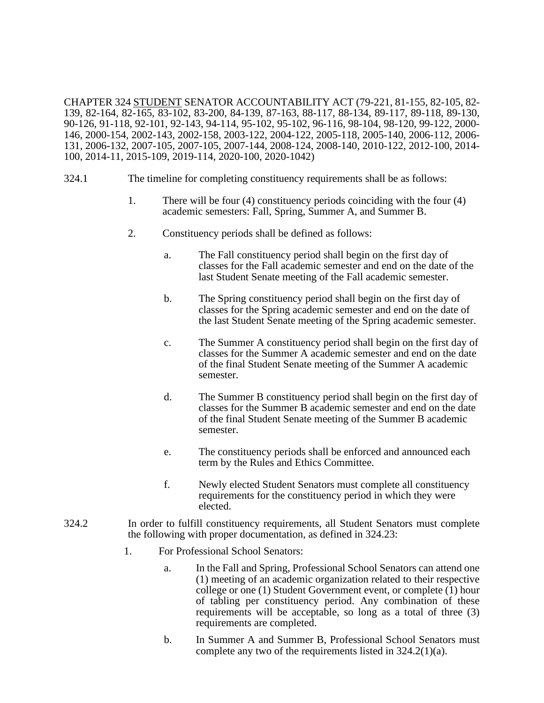CHAPTER 324 STUDENT SENATOR ACCOUNTABILITY ACT (79-221, 81-155, 82-105, 82- 139, 82-164, 82-165, 83-102, 83-200, 84-139, 87-163, 88-117, 88-134, 89-117, 89-118, 89-130, 90-126, 91-118, 92-101, 92-143, 94-114, 95-102, 95-102, 96-116, 98-104, 98-120, 99-122, 2000- 146, 2000-154, 2002-143, 2002-158, 2003-122, 2004-122, 2005-118, 2005-140, 2006-112, 2006- 131, 2006-132, 2007-105, 2007-105, 2007-144, 2008-124, 2008-140, 2010-122, 2012-100, 2014- 100, 2014-11, 2015-109, 2019-114, 2020-100, 2020-1042)

- 324.1 The timeline for completing constituency requirements shall be as follows:
	- 1. There will be four (4) constituency periods coinciding with the four (4) academic semesters: Fall, Spring, Summer A, and Summer B.
	- 2. Constituency periods shall be defined as follows:
		- a. The Fall constituency period shall begin on the first day of classes for the Fall academic semester and end on the date of the last Student Senate meeting of the Fall academic semester.
		- b. The Spring constituency period shall begin on the first day of classes for the Spring academic semester and end on the date of the last Student Senate meeting of the Spring academic semester.
		- c. The Summer A constituency period shall begin on the first day of classes for the Summer A academic semester and end on the date of the final Student Senate meeting of the Summer A academic semester.
		- d. The Summer B constituency period shall begin on the first day of classes for the Summer B academic semester and end on the date of the final Student Senate meeting of the Summer B academic semester.
		- e. The constituency periods shall be enforced and announced each term by the Rules and Ethics Committee.
		- f. Newly elected Student Senators must complete all constituency requirements for the constituency period in which they were elected.
- 324.2 In order to fulfill constituency requirements, all Student Senators must complete the following with proper documentation, as defined in 324.23:
	- 1. For Professional School Senators:
		- a. In the Fall and Spring, Professional School Senators can attend one (1) meeting of an academic organization related to their respective college or one (1) Student Government event, or complete (1) hour of tabling per constituency period. Any combination of these requirements will be acceptable, so long as a total of three (3) requirements are completed.
		- b. In Summer A and Summer B, Professional School Senators must complete any two of the requirements listed in 324.2(1)(a).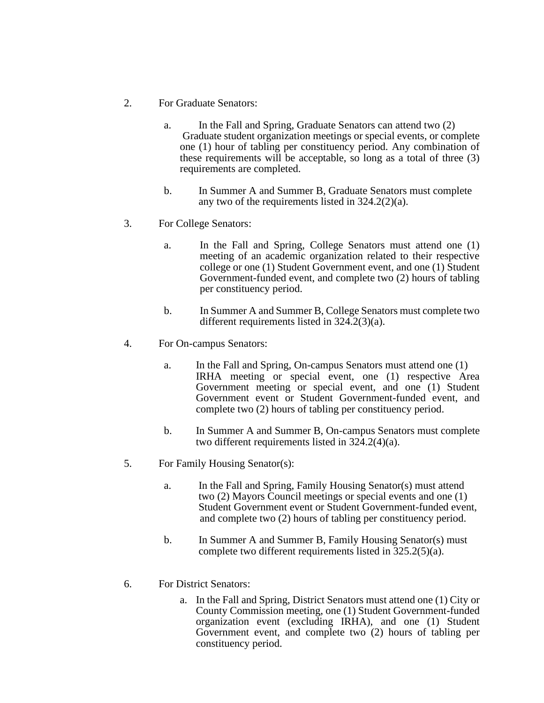- 2. For Graduate Senators:
	- a. In the Fall and Spring, Graduate Senators can attend two (2) Graduate student organization meetings or special events, or complete one (1) hour of tabling per constituency period. Any combination of these requirements will be acceptable, so long as a total of three (3) requirements are completed.
	- b. In Summer A and Summer B, Graduate Senators must complete any two of the requirements listed in 324.2(2)(a).
- 3. For College Senators:
	- a. In the Fall and Spring, College Senators must attend one (1) meeting of an academic organization related to their respective college or one (1) Student Government event, and one (1) Student Government-funded event, and complete two (2) hours of tabling per constituency period.
	- b. In Summer A and Summer B, College Senators must complete two different requirements listed in 324.2(3)(a).
- 4. For On-campus Senators:
	- a. In the Fall and Spring, On-campus Senators must attend one (1) IRHA meeting or special event, one (1) respective Area Government meeting or special event, and one (1) Student Government event or Student Government-funded event, and complete two (2) hours of tabling per constituency period.
	- b. In Summer A and Summer B, On-campus Senators must complete two different requirements listed in 324.2(4)(a).
- 5. For Family Housing Senator(s):
	- a. In the Fall and Spring, Family Housing Senator(s) must attend two (2) Mayors Council meetings or special events and one (1) Student Government event or Student Government-funded event, and complete two (2) hours of tabling per constituency period.
	- b. In Summer A and Summer B, Family Housing Senator(s) must complete two different requirements listed in 325.2(5)(a).
- 6. For District Senators:
	- a. In the Fall and Spring, District Senators must attend one (1) City or County Commission meeting, one (1) Student Government-funded organization event (excluding IRHA), and one (1) Student Government event, and complete two (2) hours of tabling per constituency period.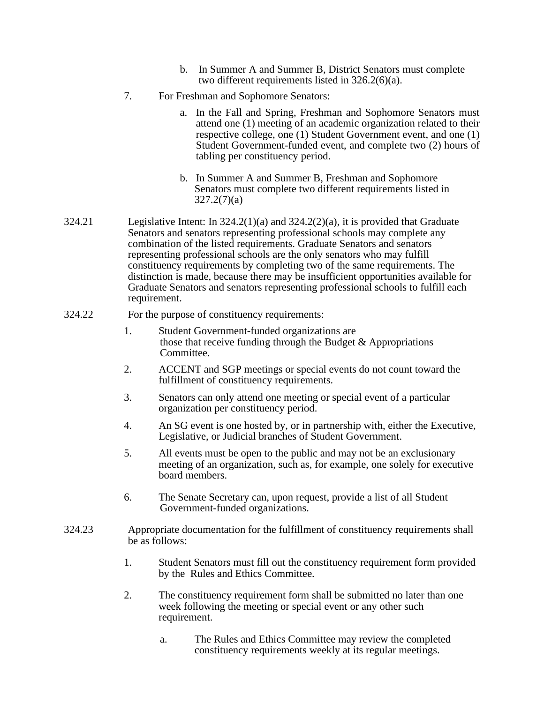- b. In Summer A and Summer B, District Senators must complete two different requirements listed in 326.2(6)(a).
- 7. For Freshman and Sophomore Senators:
	- a. In the Fall and Spring, Freshman and Sophomore Senators must attend one (1) meeting of an academic organization related to their respective college, one (1) Student Government event, and one (1) Student Government-funded event, and complete two (2) hours of tabling per constituency period.
	- b. In Summer A and Summer B, Freshman and Sophomore Senators must complete two different requirements listed in 327.2(7)(a)
- 324.21 Legislative Intent: In  $324.2(1)(a)$  and  $324.2(2)(a)$ , it is provided that Graduate Senators and senators representing professional schools may complete any combination of the listed requirements. Graduate Senators and senators representing professional schools are the only senators who may fulfill constituency requirements by completing two of the same requirements. The distinction is made, because there may be insufficient opportunities available for Graduate Senators and senators representing professional schools to fulfill each requirement.
- 324.22 For the purpose of constituency requirements:
	- 1. Student Government-funded organizations are those that receive funding through the Budget & Appropriations Committee.
	- 2. ACCENT and SGP meetings or special events do not count toward the fulfillment of constituency requirements.
	- 3. Senators can only attend one meeting or special event of a particular organization per constituency period.
	- 4. An SG event is one hosted by, or in partnership with, either the Executive, Legislative, or Judicial branches of Student Government.
	- 5. All events must be open to the public and may not be an exclusionary meeting of an organization, such as, for example, one solely for executive board members.
	- 6. The Senate Secretary can, upon request, provide a list of all Student Government-funded organizations.
- 324.23 Appropriate documentation for the fulfillment of constituency requirements shall be as follows:
	- 1. Student Senators must fill out the constituency requirement form provided by the Rules and Ethics Committee.
	- 2. The constituency requirement form shall be submitted no later than one week following the meeting or special event or any other such requirement.
		- a. The Rules and Ethics Committee may review the completed constituency requirements weekly at its regular meetings.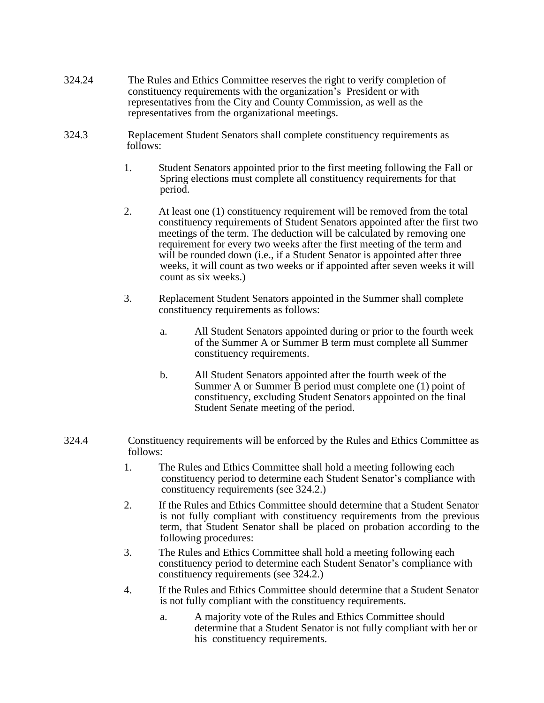- 324.24 The Rules and Ethics Committee reserves the right to verify completion of constituency requirements with the organization's President or with representatives from the City and County Commission, as well as the representatives from the organizational meetings.
- 324.3 Replacement Student Senators shall complete constituency requirements as follows:
	- 1. Student Senators appointed prior to the first meeting following the Fall or Spring elections must complete all constituency requirements for that period.
	- 2. At least one (1) constituency requirement will be removed from the total constituency requirements of Student Senators appointed after the first two meetings of the term. The deduction will be calculated by removing one requirement for every two weeks after the first meeting of the term and will be rounded down (*i.e., if a Student Senator is appointed after three* weeks, it will count as two weeks or if appointed after seven weeks it will count as six weeks.)
	- 3. Replacement Student Senators appointed in the Summer shall complete constituency requirements as follows:
		- a. All Student Senators appointed during or prior to the fourth week of the Summer A or Summer B term must complete all Summer constituency requirements.
		- b. All Student Senators appointed after the fourth week of the Summer A or Summer B period must complete one (1) point of constituency, excluding Student Senators appointed on the final Student Senate meeting of the period.
- 324.4 Constituency requirements will be enforced by the Rules and Ethics Committee as follows:
	- 1. The Rules and Ethics Committee shall hold a meeting following each constituency period to determine each Student Senator's compliance with constituency requirements (see 324.2.)
	- 2. If the Rules and Ethics Committee should determine that a Student Senator is not fully compliant with constituency requirements from the previous term, that Student Senator shall be placed on probation according to the following procedures:
	- 3. The Rules and Ethics Committee shall hold a meeting following each constituency period to determine each Student Senator's compliance with constituency requirements (see 324.2.)
	- 4. If the Rules and Ethics Committee should determine that a Student Senator is not fully compliant with the constituency requirements.
		- a. A majority vote of the Rules and Ethics Committee should determine that a Student Senator is not fully compliant with her or his constituency requirements.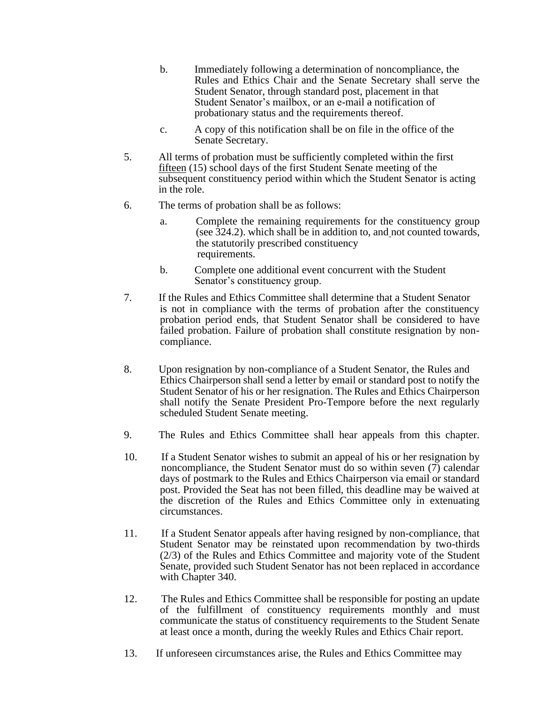- b. Immediately following a determination of noncompliance, the Rules and Ethics Chair and the Senate Secretary shall serve the Student Senator, through standard post, placement in that Student Senator's mailbox, or an e-mail a notification of probationary status and the requirements thereof.
- c. A copy of this notification shall be on file in the office of the Senate Secretary.
- 5. All terms of probation must be sufficiently completed within the first fifteen (15) school days of the first Student Senate meeting of the subsequent constituency period within which the Student Senator is acting in the role.
- 6. The terms of probation shall be as follows:
	- a. Complete the remaining requirements for the constituency group (see 324.2). which shall be in addition to, and not counted towards, the statutorily prescribed constituency requirements.
	- b. Complete one additional event concurrent with the Student Senator's constituency group.
- 7. If the Rules and Ethics Committee shall determine that a Student Senator is not in compliance with the terms of probation after the constituency probation period ends, that Student Senator shall be considered to have failed probation. Failure of probation shall constitute resignation by noncompliance.
- 8. Upon resignation by non-compliance of a Student Senator, the Rules and Ethics Chairperson shall send a letter by email or standard post to notify the Student Senator of his or her resignation. The Rules and Ethics Chairperson shall notify the Senate President Pro-Tempore before the next regularly scheduled Student Senate meeting.
- 9. The Rules and Ethics Committee shall hear appeals from this chapter.
- 10. If a Student Senator wishes to submit an appeal of his or her resignation by noncompliance, the Student Senator must do so within seven (7) calendar days of postmark to the Rules and Ethics Chairperson via email or standard post. Provided the Seat has not been filled, this deadline may be waived at the discretion of the Rules and Ethics Committee only in extenuating circumstances.
- 11. If a Student Senator appeals after having resigned by non-compliance, that Student Senator may be reinstated upon recommendation by two-thirds (2/3) of the Rules and Ethics Committee and majority vote of the Student Senate, provided such Student Senator has not been replaced in accordance with Chapter 340.
- 12. The Rules and Ethics Committee shall be responsible for posting an update of the fulfillment of constituency requirements monthly and must communicate the status of constituency requirements to the Student Senate at least once a month, during the weekly Rules and Ethics Chair report.
- 13. If unforeseen circumstances arise, the Rules and Ethics Committee may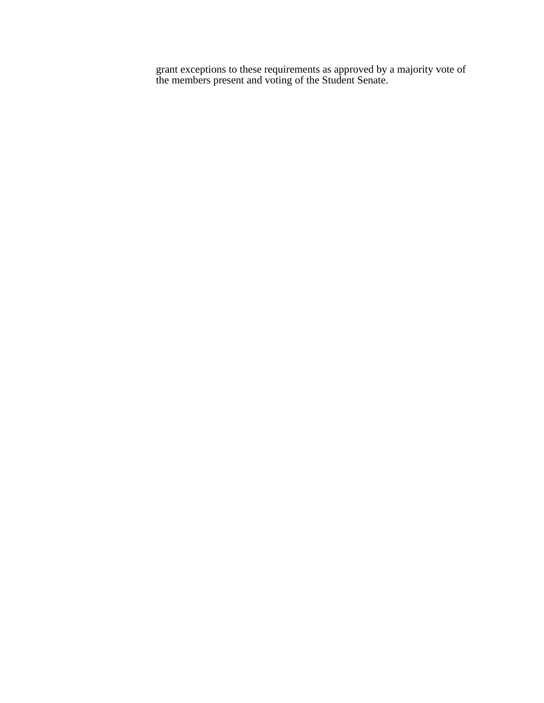grant exceptions to these requirements as approved by a majority vote of the members present and voting of the Student Senate.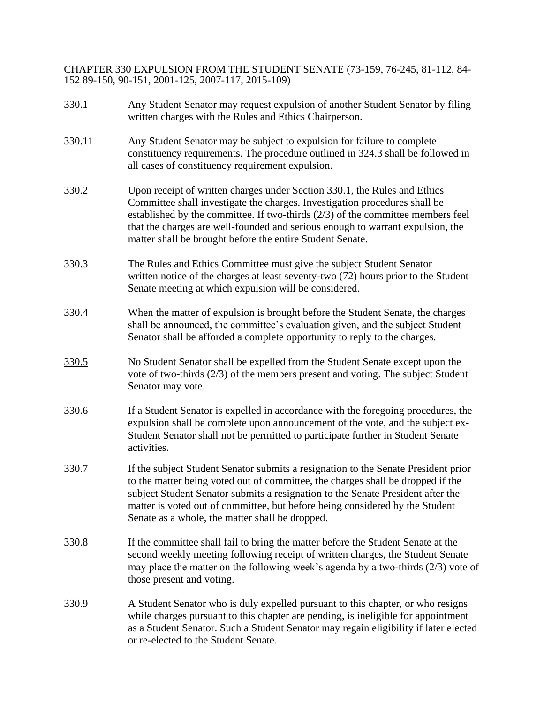CHAPTER 330 EXPULSION FROM THE STUDENT SENATE (73-159, 76-245, 81-112, 84- 152 89-150, 90-151, 2001-125, 2007-117, 2015-109)

330.1 Any Student Senator may request expulsion of another Student Senator by filing written charges with the Rules and Ethics Chairperson. 330.11 Any Student Senator may be subject to expulsion for failure to complete constituency requirements. The procedure outlined in 324.3 shall be followed in all cases of constituency requirement expulsion. 330.2 Upon receipt of written charges under Section 330.1, the Rules and Ethics Committee shall investigate the charges. Investigation procedures shall be established by the committee. If two-thirds (2/3) of the committee members feel that the charges are well-founded and serious enough to warrant expulsion, the matter shall be brought before the entire Student Senate. 330.3 The Rules and Ethics Committee must give the subject Student Senator written notice of the charges at least seventy-two (72) hours prior to the Student Senate meeting at which expulsion will be considered. 330.4 When the matter of expulsion is brought before the Student Senate, the charges shall be announced, the committee's evaluation given, and the subject Student Senator shall be afforded a complete opportunity to reply to the charges. 330.5 No Student Senator shall be expelled from the Student Senate except upon the vote of two-thirds (2/3) of the members present and voting. The subject Student Senator may vote. 330.6 If a Student Senator is expelled in accordance with the foregoing procedures, the expulsion shall be complete upon announcement of the vote, and the subject ex-Student Senator shall not be permitted to participate further in Student Senate activities. 330.7 If the subject Student Senator submits a resignation to the Senate President prior to the matter being voted out of committee, the charges shall be dropped if the subject Student Senator submits a resignation to the Senate President after the matter is voted out of committee, but before being considered by the Student Senate as a whole, the matter shall be dropped. 330.8 If the committee shall fail to bring the matter before the Student Senate at the second weekly meeting following receipt of written charges, the Student Senate may place the matter on the following week's agenda by a two-thirds (2/3) vote of those present and voting. 330.9 A Student Senator who is duly expelled pursuant to this chapter, or who resigns while charges pursuant to this chapter are pending, is ineligible for appointment as a Student Senator. Such a Student Senator may regain eligibility if later elected or re-elected to the Student Senate.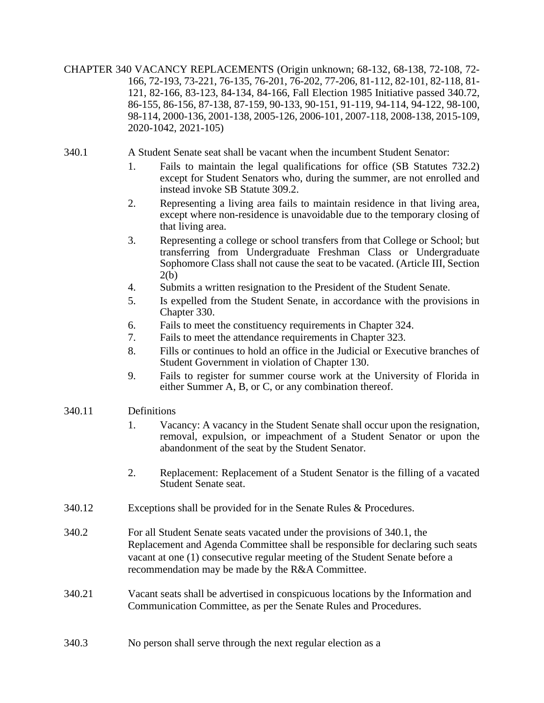CHAPTER 340 VACANCY REPLACEMENTS (Origin unknown; 68-132, 68-138, 72-108, 72- 166, 72-193, 73-221, 76-135, 76-201, 76-202, 77-206, 81-112, 82-101, 82-118, 81- 121, 82-166, 83-123, 84-134, 84-166, Fall Election 1985 Initiative passed 340.72, 86-155, 86-156, 87-138, 87-159, 90-133, 90-151, 91-119, 94-114, 94-122, 98-100, 98-114, 2000-136, 2001-138, 2005-126, 2006-101, 2007-118, 2008-138, 2015-109, 2020-1042, 2021-105)

- 340.1 A Student Senate seat shall be vacant when the incumbent Student Senator:
	- 1. Fails to maintain the legal qualifications for office (SB Statutes 732.2) except for Student Senators who, during the summer, are not enrolled and instead invoke SB Statute 309.2.
	- 2. Representing a living area fails to maintain residence in that living area, except where non-residence is unavoidable due to the temporary closing of that living area.
	- 3. Representing a college or school transfers from that College or School; but transferring from Undergraduate Freshman Class or Undergraduate Sophomore Class shall not cause the seat to be vacated. (Article III, Section 2(b)
	- 4. Submits a written resignation to the President of the Student Senate.
	- 5. Is expelled from the Student Senate, in accordance with the provisions in Chapter 330.
	- 6. Fails to meet the constituency requirements in Chapter 324.
	- 7. Fails to meet the attendance requirements in Chapter 323.
	- 8. Fills or continues to hold an office in the Judicial or Executive branches of Student Government in violation of Chapter 130.
	- 9. Fails to register for summer course work at the University of Florida in either Summer A, B, or C, or any combination thereof.

## 340.11 Definitions

- 1. Vacancy: A vacancy in the Student Senate shall occur upon the resignation, removal, expulsion, or impeachment of a Student Senator or upon the abandonment of the seat by the Student Senator.
- 2. Replacement: Replacement of a Student Senator is the filling of a vacated Student Senate seat.
- 340.12 Exceptions shall be provided for in the Senate Rules & Procedures.
- 340.2 For all Student Senate seats vacated under the provisions of 340.1, the Replacement and Agenda Committee shall be responsible for declaring such seats vacant at one (1) consecutive regular meeting of the Student Senate before a recommendation may be made by the R&A Committee.
- 340.21 Vacant seats shall be advertised in conspicuous locations by the Information and Communication Committee, as per the Senate Rules and Procedures.
- 340.3 No person shall serve through the next regular election as a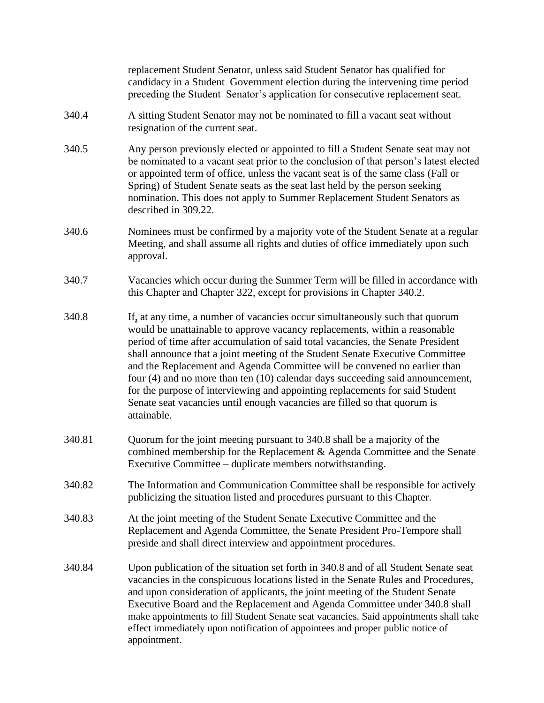|        | replacement Student Senator, unless said Student Senator has qualified for<br>candidacy in a Student Government election during the intervening time period<br>preceding the Student Senator's application for consecutive replacement seat.                                                                                                                                                                                                                                                                                                                                                                                                                              |
|--------|---------------------------------------------------------------------------------------------------------------------------------------------------------------------------------------------------------------------------------------------------------------------------------------------------------------------------------------------------------------------------------------------------------------------------------------------------------------------------------------------------------------------------------------------------------------------------------------------------------------------------------------------------------------------------|
| 340.4  | A sitting Student Senator may not be nominated to fill a vacant seat without<br>resignation of the current seat.                                                                                                                                                                                                                                                                                                                                                                                                                                                                                                                                                          |
| 340.5  | Any person previously elected or appointed to fill a Student Senate seat may not<br>be nominated to a vacant seat prior to the conclusion of that person's latest elected<br>or appointed term of office, unless the vacant seat is of the same class (Fall or<br>Spring) of Student Senate seats as the seat last held by the person seeking<br>nomination. This does not apply to Summer Replacement Student Senators as<br>described in 309.22.                                                                                                                                                                                                                        |
| 340.6  | Nominees must be confirmed by a majority vote of the Student Senate at a regular<br>Meeting, and shall assume all rights and duties of office immediately upon such<br>approval.                                                                                                                                                                                                                                                                                                                                                                                                                                                                                          |
| 340.7  | Vacancies which occur during the Summer Term will be filled in accordance with<br>this Chapter and Chapter 322, except for provisions in Chapter 340.2.                                                                                                                                                                                                                                                                                                                                                                                                                                                                                                                   |
| 340.8  | If, at any time, a number of vacancies occur simultaneously such that quorum<br>would be unattainable to approve vacancy replacements, within a reasonable<br>period of time after accumulation of said total vacancies, the Senate President<br>shall announce that a joint meeting of the Student Senate Executive Committee<br>and the Replacement and Agenda Committee will be convened no earlier than<br>four (4) and no more than ten (10) calendar days succeeding said announcement,<br>for the purpose of interviewing and appointing replacements for said Student<br>Senate seat vacancies until enough vacancies are filled so that quorum is<br>attainable. |
| 340.81 | Quorum for the joint meeting pursuant to 340.8 shall be a majority of the<br>combined membership for the Replacement & Agenda Committee and the Senate<br>Executive Committee – duplicate members notwithstanding.                                                                                                                                                                                                                                                                                                                                                                                                                                                        |
| 340.82 | The Information and Communication Committee shall be responsible for actively<br>publicizing the situation listed and procedures pursuant to this Chapter.                                                                                                                                                                                                                                                                                                                                                                                                                                                                                                                |
| 340.83 | At the joint meeting of the Student Senate Executive Committee and the<br>Replacement and Agenda Committee, the Senate President Pro-Tempore shall<br>preside and shall direct interview and appointment procedures.                                                                                                                                                                                                                                                                                                                                                                                                                                                      |
| 340.84 | Upon publication of the situation set forth in 340.8 and of all Student Senate seat<br>vacancies in the conspicuous locations listed in the Senate Rules and Procedures,<br>and upon consideration of applicants, the joint meeting of the Student Senate<br>Executive Board and the Replacement and Agenda Committee under 340.8 shall<br>make appointments to fill Student Senate seat vacancies. Said appointments shall take<br>effect immediately upon notification of appointees and proper public notice of<br>appointment.                                                                                                                                        |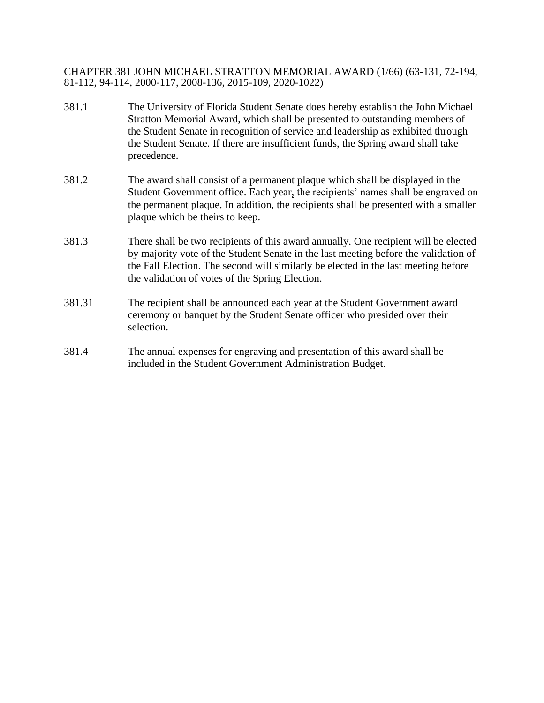CHAPTER 381 JOHN MICHAEL STRATTON MEMORIAL AWARD (1/66) (63-131, 72-194, 81-112, 94-114, 2000-117, 2008-136, 2015-109, 2020-1022)

- 381.1 The University of Florida Student Senate does hereby establish the John Michael Stratton Memorial Award, which shall be presented to outstanding members of the Student Senate in recognition of service and leadership as exhibited through the Student Senate. If there are insufficient funds, the Spring award shall take precedence.
- 381.2 The award shall consist of a permanent plaque which shall be displayed in the Student Government office. Each year, the recipients' names shall be engraved on the permanent plaque. In addition, the recipients shall be presented with a smaller plaque which be theirs to keep.
- 381.3 There shall be two recipients of this award annually. One recipient will be elected by majority vote of the Student Senate in the last meeting before the validation of the Fall Election. The second will similarly be elected in the last meeting before the validation of votes of the Spring Election.
- 381.31 The recipient shall be announced each year at the Student Government award ceremony or banquet by the Student Senate officer who presided over their selection.
- 381.4 The annual expenses for engraving and presentation of this award shall be included in the Student Government Administration Budget.